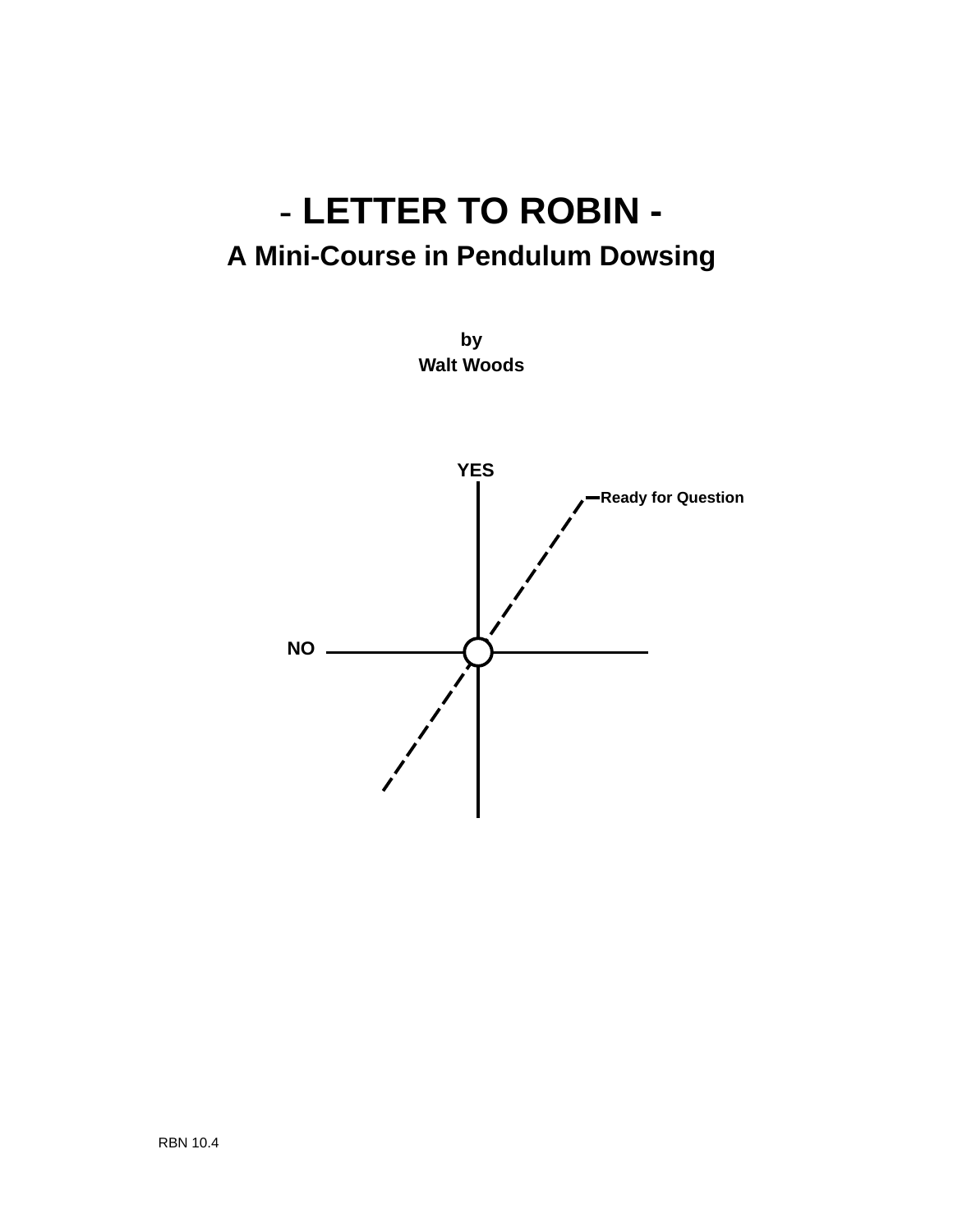# **- LETTER TO ROBIN - A Mini-Course in Pendulum Dowsing**



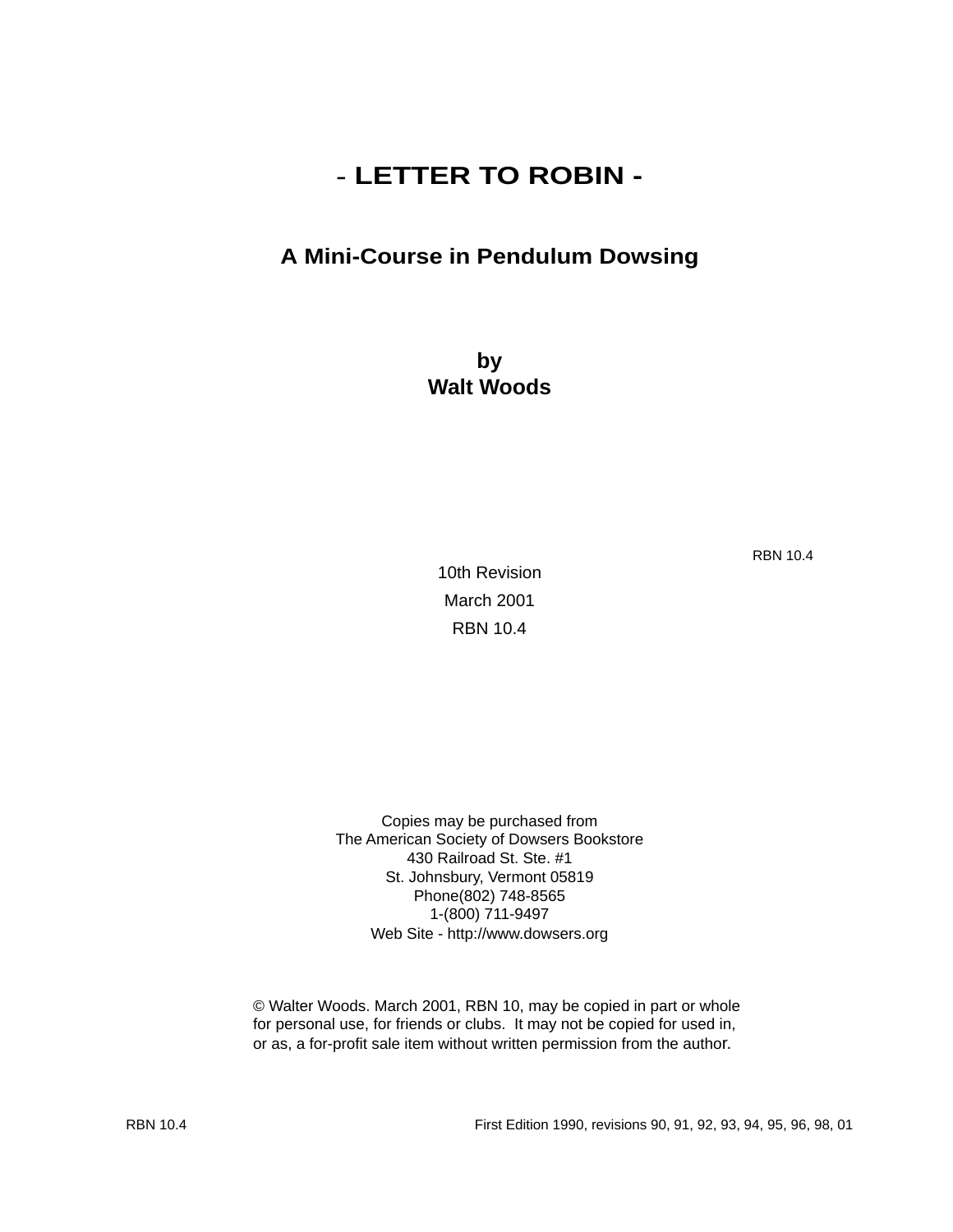## **- LETTER TO ROBIN -**

## **A Mini-Course in Pendulum Dowsing**

**by Walt Woods**

RBN 10.4

10th Revision March 2001 RBN 10.4

Copies may be purchased from The American Society of Dowsers Bookstore 430 Railroad St. Ste. #1 St. Johnsbury, Vermont 05819 Phone(802) 748-8565 1-(800) 711-9497 Web Site - http://www.dowsers.org

© Walter Woods. March 2001, RBN 10, may be copied in part or whole for personal use, for friends or clubs. It may not be copied for used in, or as, a for-profit sale item without written permission from the author.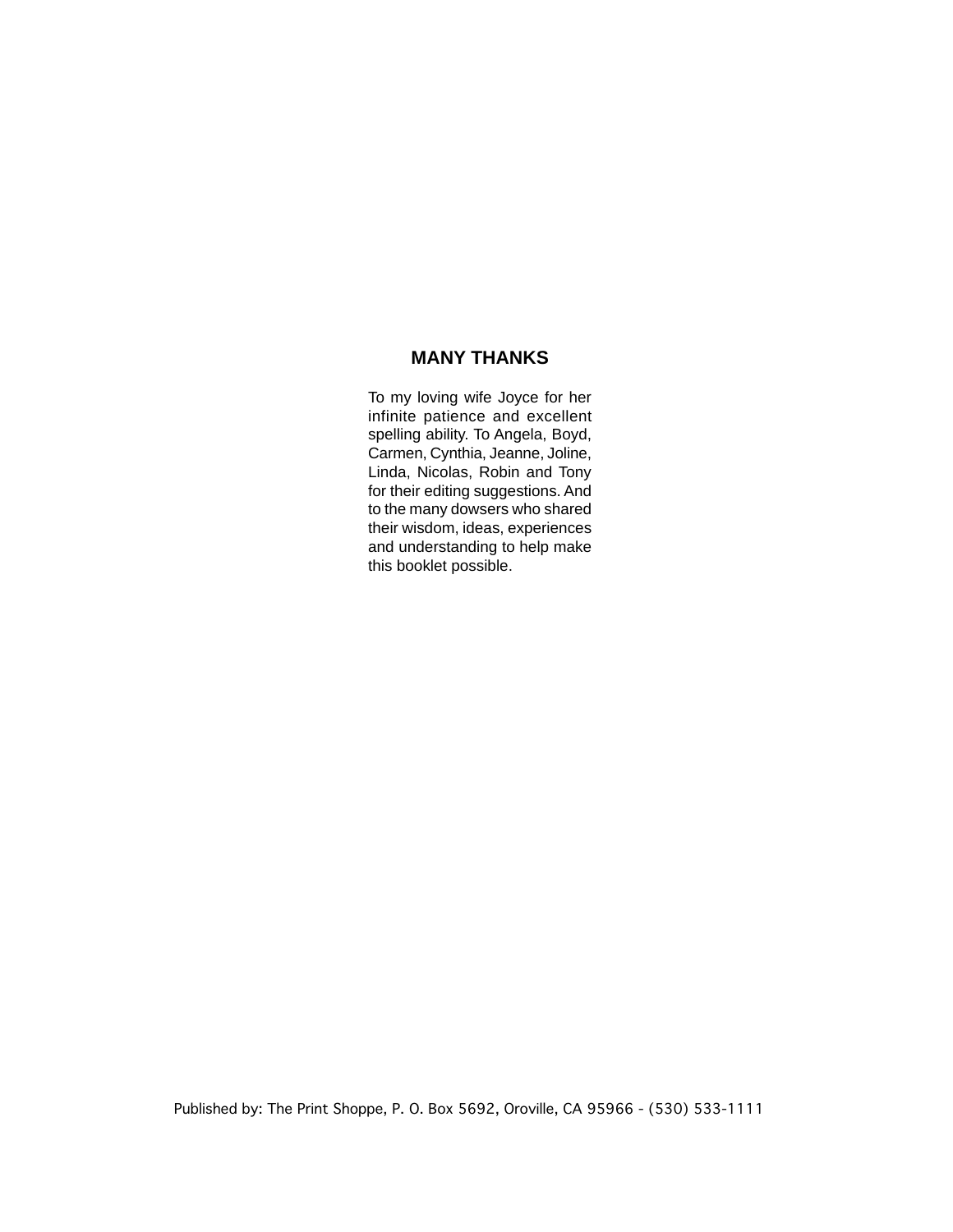#### **MANY THANKS**

To my loving wife Joyce for her infinite patience and excellent spelling ability. To Angela, Boyd, Carmen, Cynthia, Jeanne, Joline, Linda, Nicolas, Robin and Tony for their editing suggestions. And to the many dowsers who shared their wisdom, ideas, experiences and understanding to help make this booklet possible.

Published by: The Print Shoppe, P. O. Box 5692, Oroville, CA 95966 - (530) 533-1111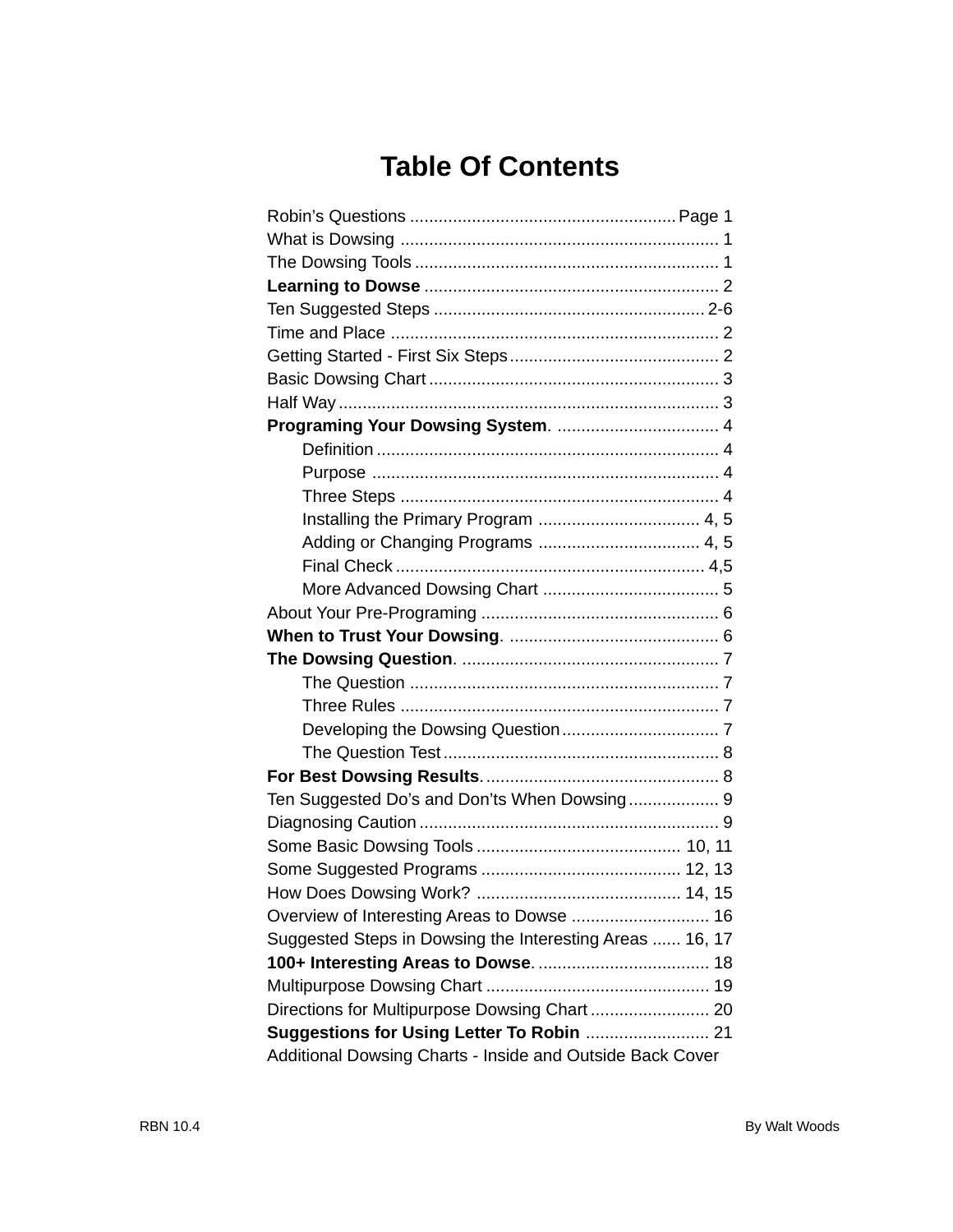## **Table Of Contents**

| Ten Suggested Do's and Don'ts When Dowsing 9              |  |
|-----------------------------------------------------------|--|
|                                                           |  |
|                                                           |  |
|                                                           |  |
|                                                           |  |
|                                                           |  |
| Suggested Steps in Dowsing the Interesting Areas  16, 17  |  |
|                                                           |  |
|                                                           |  |
|                                                           |  |
|                                                           |  |
| Additional Dowsing Charts - Inside and Outside Back Cover |  |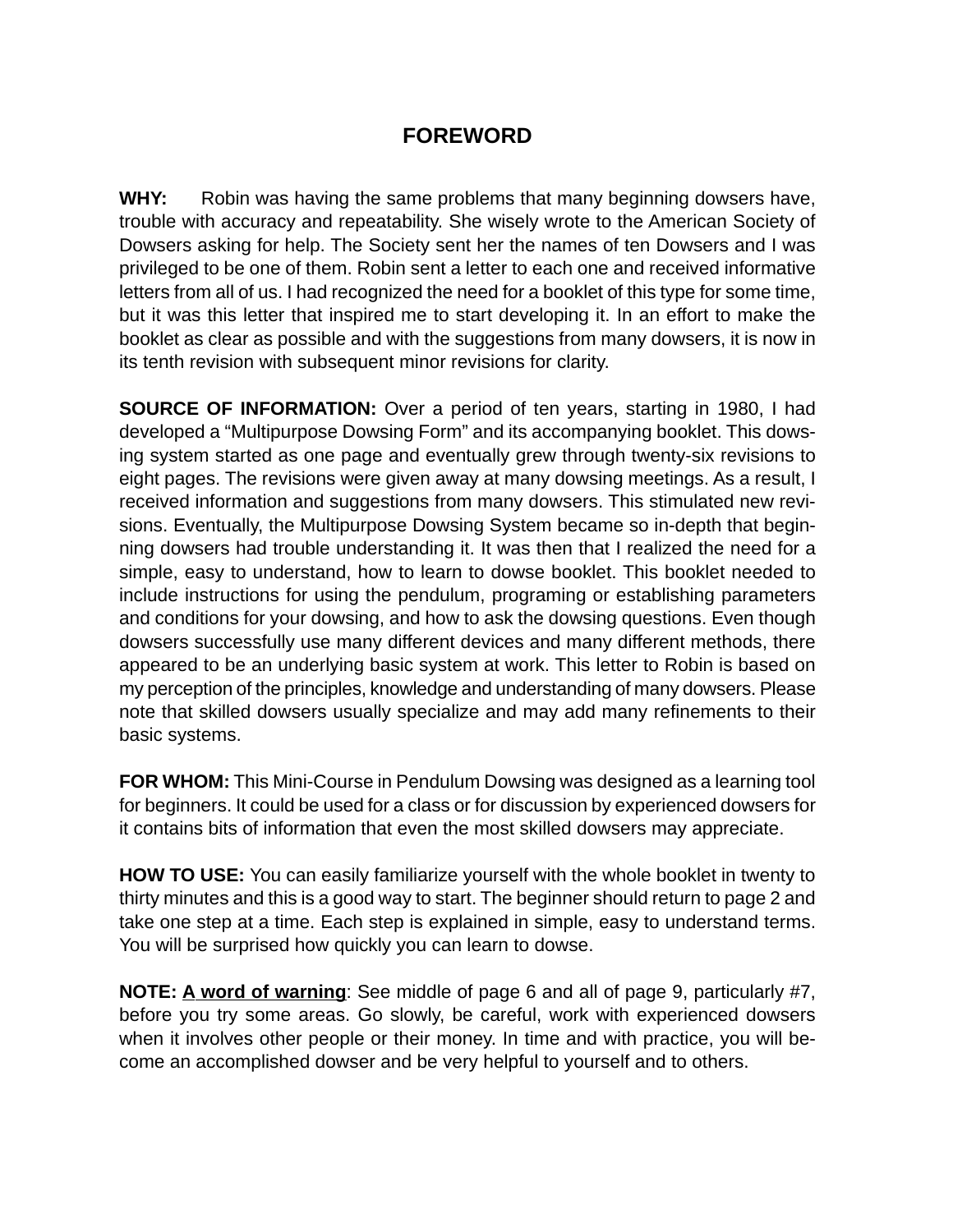## **FOREWORD**

**WHY:** Robin was having the same problems that many beginning dowsers have, trouble with accuracy and repeatability. She wisely wrote to the American Society of Dowsers asking for help. The Society sent her the names of ten Dowsers and I was privileged to be one of them. Robin sent a letter to each one and received informative letters from all of us. I had recognized the need for a booklet of this type for some time, but it was this letter that inspired me to start developing it. In an effort to make the booklet as clear as possible and with the suggestions from many dowsers, it is now in its tenth revision with subsequent minor revisions for clarity.

**SOURCE OF INFORMATION:** Over a period of ten years, starting in 1980, I had developed a "Multipurpose Dowsing Form" and its accompanying booklet. This dowsing system started as one page and eventually grew through twenty-six revisions to eight pages. The revisions were given away at many dowsing meetings. As a result, I received information and suggestions from many dowsers. This stimulated new revisions. Eventually, the Multipurpose Dowsing System became so in-depth that beginning dowsers had trouble understanding it. It was then that I realized the need for a simple, easy to understand, how to learn to dowse booklet. This booklet needed to include instructions for using the pendulum, programing or establishing parameters and conditions for your dowsing, and how to ask the dowsing questions. Even though dowsers successfully use many different devices and many different methods, there appeared to be an underlying basic system at work. This letter to Robin is based on my perception of the principles, knowledge and understanding of many dowsers. Please note that skilled dowsers usually specialize and may add many refinements to their basic systems.

**FOR WHOM:** This Mini-Course in Pendulum Dowsing was designed as a learning tool for beginners. It could be used for a class or for discussion by experienced dowsers for it contains bits of information that even the most skilled dowsers may appreciate.

**HOW TO USE:** You can easily familiarize yourself with the whole booklet in twenty to thirty minutes and this is a good way to start. The beginner should return to page 2 and take one step at a time. Each step is explained in simple, easy to understand terms. You will be surprised how quickly you can learn to dowse.

**NOTE: A word of warning**: See middle of page 6 and all of page 9, particularly #7, before you try some areas. Go slowly, be careful, work with experienced dowsers when it involves other people or their money. In time and with practice, you will become an accomplished dowser and be very helpful to yourself and to others.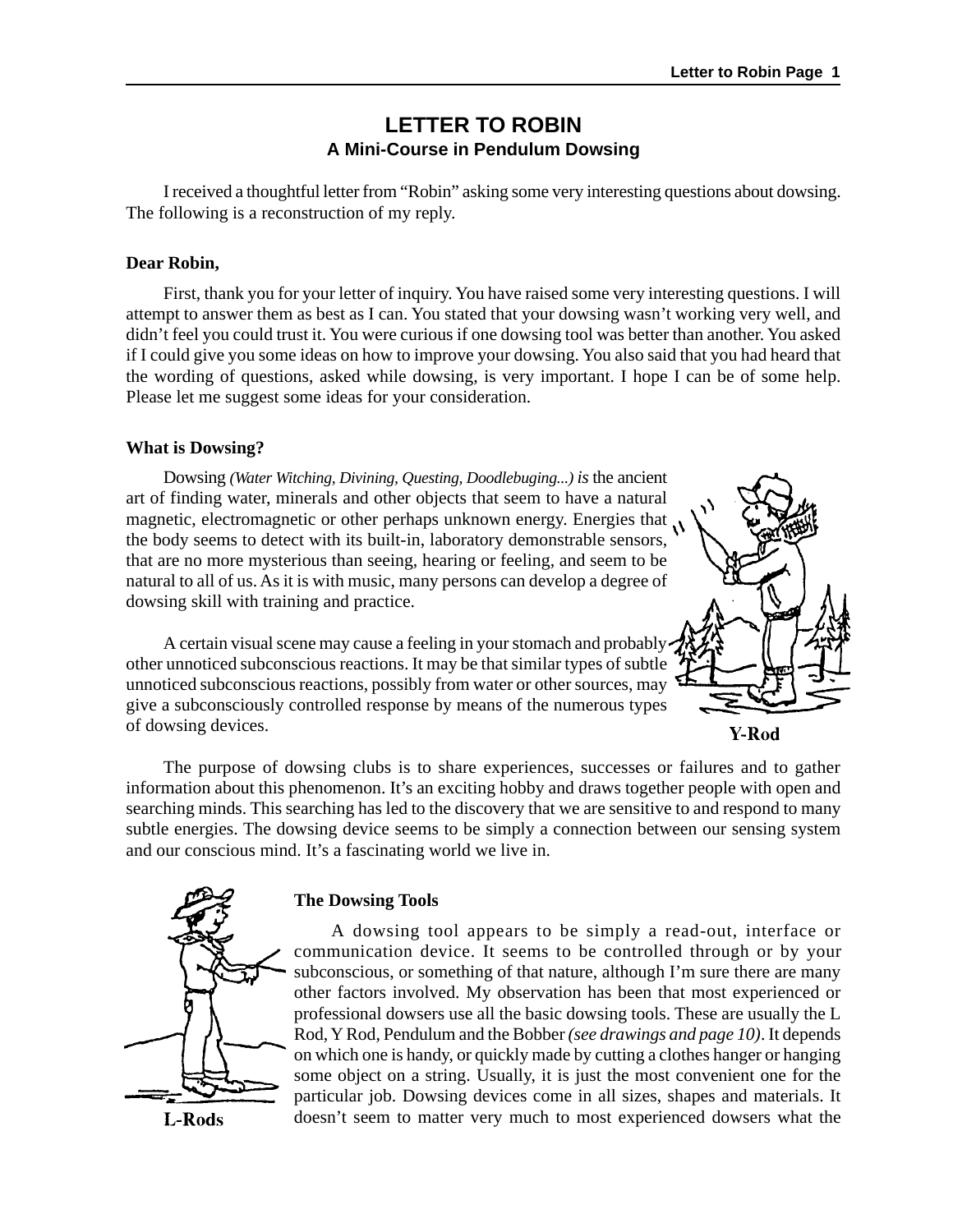### **LETTER TO ROBIN A Mini-Course in Pendulum Dowsing**

I received a thoughtful letter from "Robin" asking some very interesting questions about dowsing. The following is a reconstruction of my reply.

#### **Dear Robin,**

First, thank you for your letter of inquiry. You have raised some very interesting questions. I will attempt to answer them as best as I can. You stated that your dowsing wasn't working very well, and didn't feel you could trust it. You were curious if one dowsing tool was better than another. You asked if I could give you some ideas on how to improve your dowsing. You also said that you had heard that the wording of questions, asked while dowsing, is very important. I hope I can be of some help. Please let me suggest some ideas for your consideration.

#### **What is Dowsing?**

Dowsing *(Water Witching, Divining, Questing, Doodlebuging...) is* the ancient art of finding water, minerals and other objects that seem to have a natural magnetic, electromagnetic or other perhaps unknown energy. Energies that  $\mathcal{N}$ the body seems to detect with its built-in, laboratory demonstrable sensors, that are no more mysterious than seeing, hearing or feeling, and seem to be natural to all of us. As it is with music, many persons can develop a degree of dowsing skill with training and practice.



A certain visual scene may cause a feeling in your stomach and probably other unnoticed subconscious reactions. It may be that similar types of subtle unnoticed subconscious reactions, possibly from water or other sources, may give a subconsciously controlled response by means of the numerous types of dowsing devices.

Y-Rod

The purpose of dowsing clubs is to share experiences, successes or failures and to gather information about this phenomenon. It's an exciting hobby and draws together people with open and searching minds. This searching has led to the discovery that we are sensitive to and respond to many subtle energies. The dowsing device seems to be simply a connection between our sensing system and our conscious mind. It's a fascinating world we live in.



L-Rods

#### **The Dowsing Tools**

A dowsing tool appears to be simply a read-out, interface or communication device. It seems to be controlled through or by your subconscious, or something of that nature, although I'm sure there are many other factors involved. My observation has been that most experienced or professional dowsers use all the basic dowsing tools. These are usually the L Rod, Y Rod, Pendulum and the Bobber *(see drawings and page 10)*. It depends on which one is handy, or quickly made by cutting a clothes hanger or hanging some object on a string. Usually, it is just the most convenient one for the particular job. Dowsing devices come in all sizes, shapes and materials. It doesn't seem to matter very much to most experienced dowsers what the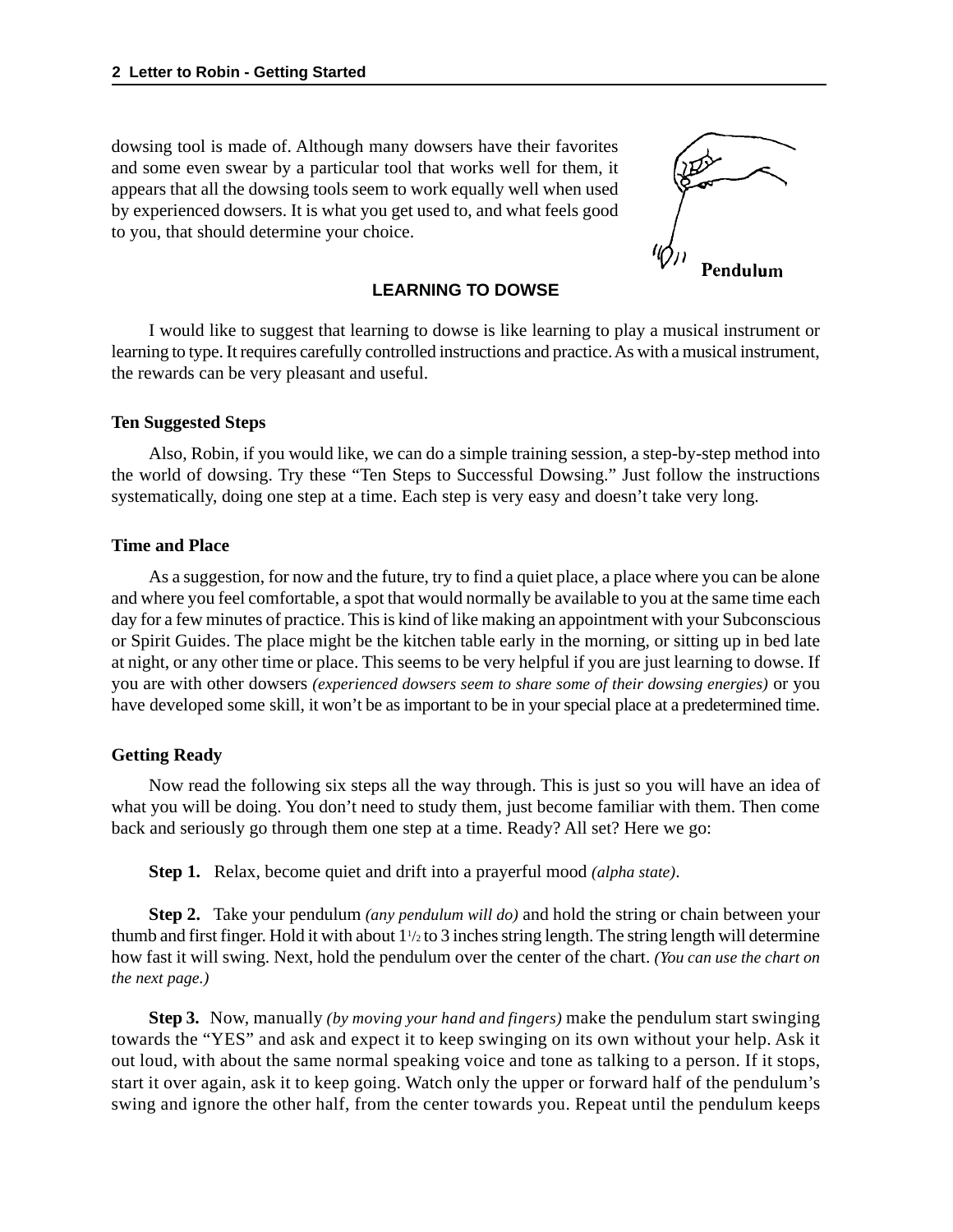dowsing tool is made of. Although many dowsers have their favorites and some even swear by a particular tool that works well for them, it appears that all the dowsing tools seem to work equally well when used by experienced dowsers. It is what you get used to, and what feels good to you, that should determine your choice.



#### **LEARNING TO DOWSE**

I would like to suggest that learning to dowse is like learning to play a musical instrument or learning to type. It requires carefully controlled instructions and practice. As with a musical instrument, the rewards can be very pleasant and useful.

#### **Ten Suggested Steps**

Also, Robin, if you would like, we can do a simple training session, a step-by-step method into the world of dowsing. Try these "Ten Steps to Successful Dowsing." Just follow the instructions systematically, doing one step at a time. Each step is very easy and doesn't take very long.

#### **Time and Place**

As a suggestion, for now and the future, try to find a quiet place, a place where you can be alone and where you feel comfortable, a spot that would normally be available to you at the same time each day for a few minutes of practice. This is kind of like making an appointment with your Subconscious or Spirit Guides. The place might be the kitchen table early in the morning, or sitting up in bed late at night, or any other time or place. This seems to be very helpful if you are just learning to dowse. If you are with other dowsers *(experienced dowsers seem to share some of their dowsing energies)* or you have developed some skill, it won't be as important to be in your special place at a predetermined time.

#### **Getting Ready**

Now read the following six steps all the way through. This is just so you will have an idea of what you will be doing. You don't need to study them, just become familiar with them. Then come back and seriously go through them one step at a time. Ready? All set? Here we go:

**Step 1.** Relax, become quiet and drift into a prayerful mood *(alpha state)*.

**Step 2.** Take your pendulum *(any pendulum will do)* and hold the string or chain between your thumb and first finger. Hold it with about 1<sup>1</sup>/<sub>2</sub> to 3 inches string length. The string length will determine how fast it will swing. Next, hold the pendulum over the center of the chart. *(You can use the chart on the next page.)*

**Step 3.** Now, manually *(by moving your hand and fingers)* make the pendulum start swinging towards the "YES" and ask and expect it to keep swinging on its own without your help. Ask it out loud, with about the same normal speaking voice and tone as talking to a person. If it stops, start it over again, ask it to keep going. Watch only the upper or forward half of the pendulum's swing and ignore the other half, from the center towards you. Repeat until the pendulum keeps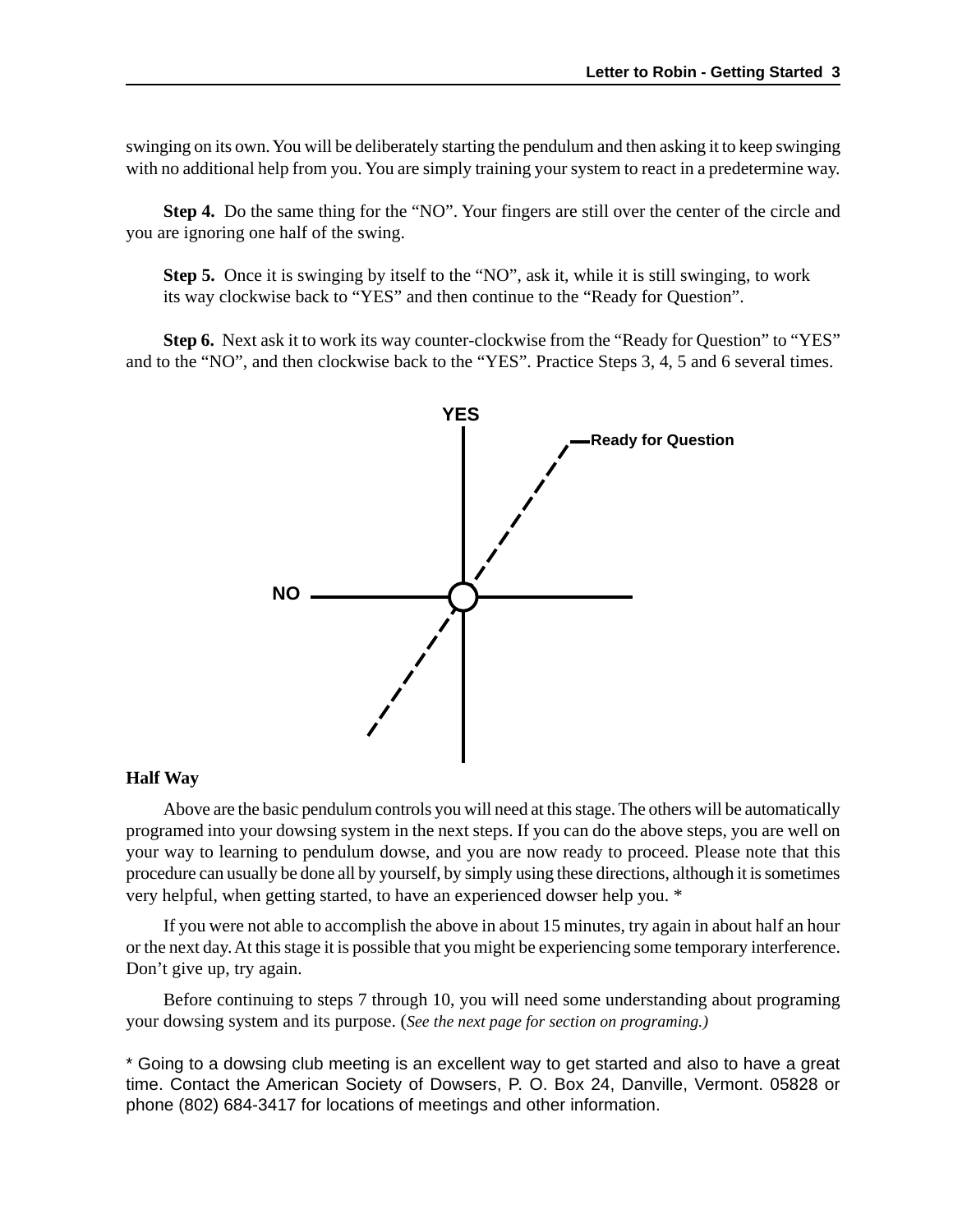swinging on its own. You will be deliberately starting the pendulum and then asking it to keep swinging with no additional help from you. You are simply training your system to react in a predetermine way.

**Step 4.** Do the same thing for the "NO". Your fingers are still over the center of the circle and you are ignoring one half of the swing.

**Step 5.** Once it is swinging by itself to the "NO", ask it, while it is still swinging, to work its way clockwise back to "YES" and then continue to the "Ready for Question".

**Step 6.** Next ask it to work its way counter-clockwise from the "Ready for Question" to "YES" and to the "NO", and then clockwise back to the "YES". Practice Steps 3, 4, 5 and 6 several times.



#### **Half Way**

Above are the basic pendulum controls you will need at this stage. The others will be automatically programed into your dowsing system in the next steps. If you can do the above steps, you are well on your way to learning to pendulum dowse, and you are now ready to proceed. Please note that this procedure can usually be done all by yourself, by simply using these directions, although it is sometimes very helpful, when getting started, to have an experienced dowser help you. \*

If you were not able to accomplish the above in about 15 minutes, try again in about half an hour or the next day. At this stage it is possible that you might be experiencing some temporary interference. Don't give up, try again.

Before continuing to steps 7 through 10, you will need some understanding about programing your dowsing system and its purpose. (*See the next page for section on programing.)*

\* Going to a dowsing club meeting is an excellent way to get started and also to have a great time. Contact the American Society of Dowsers, P. O. Box 24, Danville, Vermont. 05828 or phone (802) 684-3417 for locations of meetings and other information.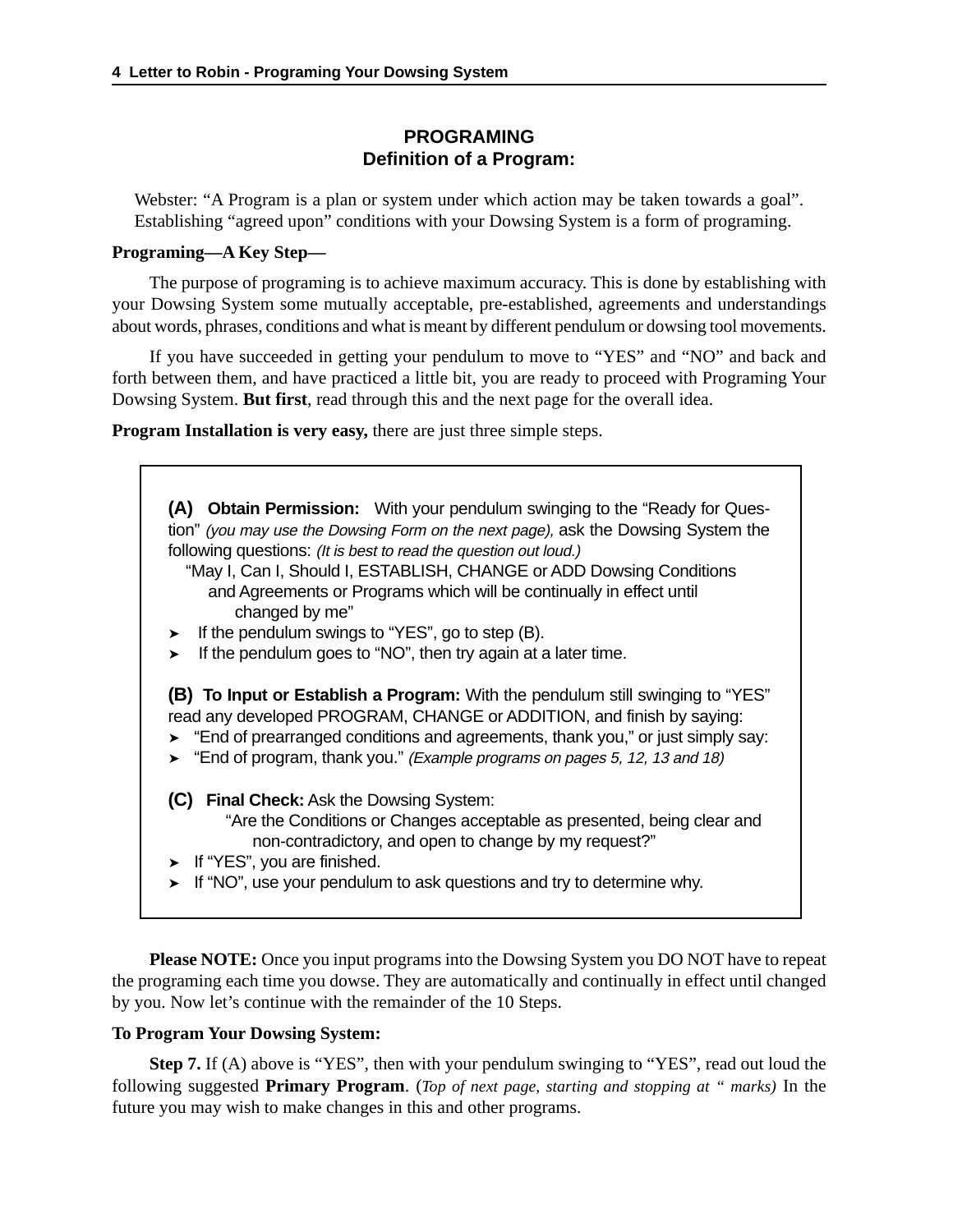#### **PROGRAMING Definition of a Program:**

Webster: "A Program is a plan or system under which action may be taken towards a goal". Establishing "agreed upon" conditions with your Dowsing System is a form of programing.

#### **Programing—A Key Step—**

The purpose of programing is to achieve maximum accuracy. This is done by establishing with your Dowsing System some mutually acceptable, pre-established, agreements and understandings about words, phrases, conditions and what is meant by different pendulum or dowsing tool movements.

If you have succeeded in getting your pendulum to move to "YES" and "NO" and back and forth between them, and have practiced a little bit, you are ready to proceed with Programing Your Dowsing System. **But first**, read through this and the next page for the overall idea.

**Program Installation is very easy,** there are just three simple steps.

**(A) Obtain Permission:** With your pendulum swinging to the "Ready for Question" (you may use the Dowsing Form on the next page), ask the Dowsing System the following questions: (It is best to read the question out loud.)

 "May I, Can I, Should I, ESTABLISH, CHANGE or ADD Dowsing Conditions and Agreements or Programs which will be continually in effect until changed by me"

- ➤ If the pendulum swings to "YES", go to step (B).
- ➤ If the pendulum goes to "NO", then try again at a later time.

**(B) To Input or Establish a Program:** With the pendulum still swinging to "YES" read any developed PROGRAM, CHANGE or ADDITION, and finish by saying:

- ➤ "End of prearranged conditions and agreements, thank you," or just simply say:
- ➤ "End of program, thank you." (Example programs on pages 5, 12, 13 and 18)

**(C) Final Check:** Ask the Dowsing System:

- "Are the Conditions or Changes acceptable as presented, being clear and non-contradictory, and open to change by my request?"
- ➤ If "YES", you are finished.
- ➤ If "NO", use your pendulum to ask questions and try to determine why.

**Please NOTE:** Once you input programs into the Dowsing System you DO NOT have to repeat the programing each time you dowse. They are automatically and continually in effect until changed by you. Now let's continue with the remainder of the 10 Steps.

#### **To Program Your Dowsing System:**

**Step 7.** If (A) above is "YES", then with your pendulum swinging to "YES", read out loud the following suggested **Primary Program**. (*Top of next page, starting and stopping at " marks)* In the future you may wish to make changes in this and other programs.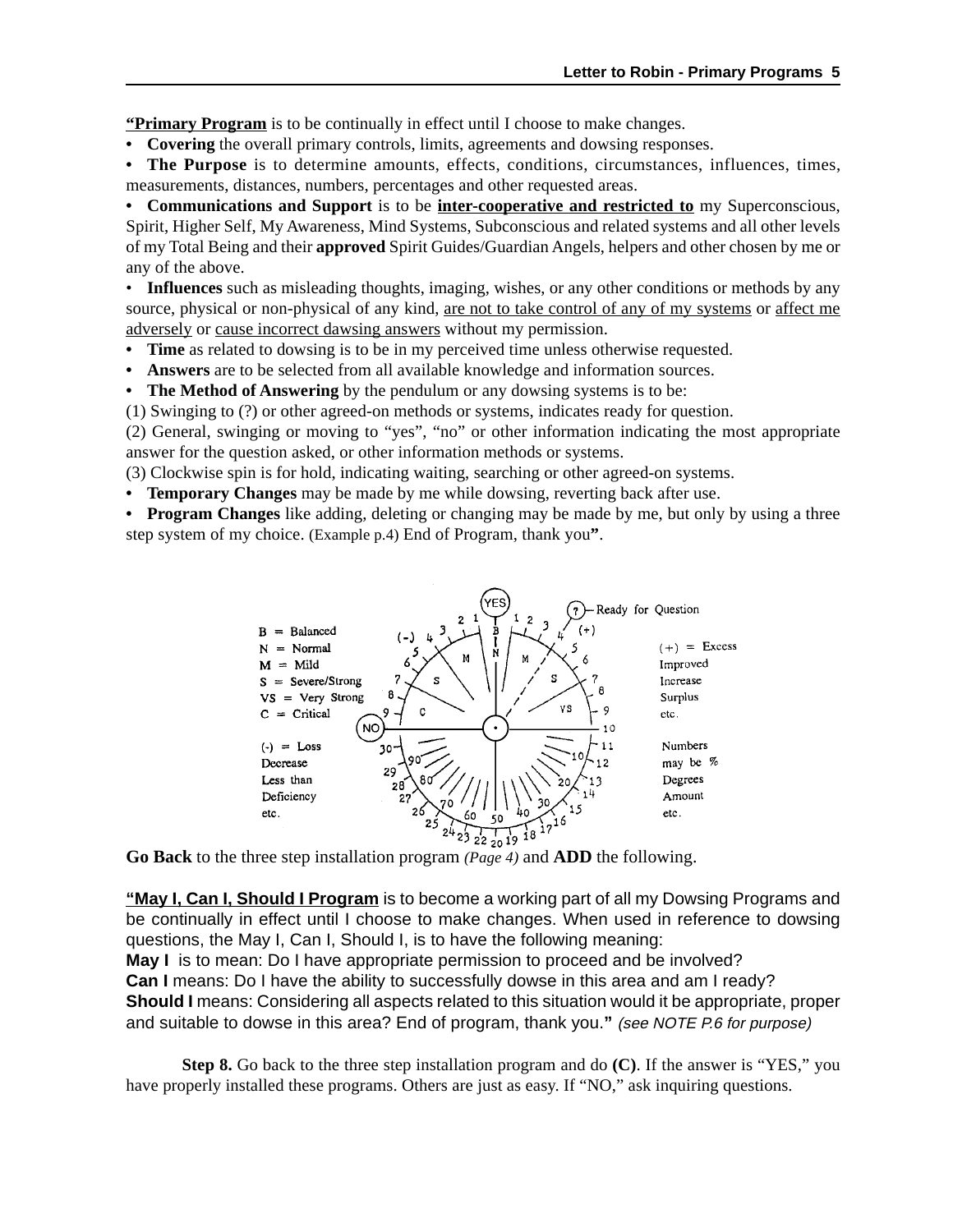**"Primary Program** is to be continually in effect until I choose to make changes.

**• Covering** the overall primary controls, limits, agreements and dowsing responses.

**• The Purpose** is to determine amounts, effects, conditions, circumstances, influences, times, measurements, distances, numbers, percentages and other requested areas.

**• Communications and Support** is to be **inter-cooperative and restricted to** my Superconscious, Spirit, Higher Self, My Awareness, Mind Systems, Subconscious and related systems and all other levels of my Total Being and their **approved** Spirit Guides/Guardian Angels, helpers and other chosen by me or any of the above.

• **Influences** such as misleading thoughts, imaging, wishes, or any other conditions or methods by any source, physical or non-physical of any kind, are not to take control of any of my systems or affect me adversely or cause incorrect dawsing answers without my permission.

- **Time** as related to dowsing is to be in my perceived time unless otherwise requested.
- **Answers** are to be selected from all available knowledge and information sources.

**• The Method of Answering** by the pendulum or any dowsing systems is to be:

(1) Swinging to (?) or other agreed-on methods or systems, indicates ready for question.

(2) General, swinging or moving to "yes", "no" or other information indicating the most appropriate answer for the question asked, or other information methods or systems.

(3) Clockwise spin is for hold, indicating waiting, searching or other agreed-on systems.

**• Temporary Changes** may be made by me while dowsing, reverting back after use.

**• Program Changes** like adding, deleting or changing may be made by me, but only by using a three step system of my choice. (Example p.4) End of Program, thank you**"**.



**Go Back** to the three step installation program *(Page 4)* and **ADD** the following.

**"May I, Can I, Should I Program** is to become a working part of all my Dowsing Programs and be continually in effect until I choose to make changes. When used in reference to dowsing questions, the May I, Can I, Should I, is to have the following meaning: **May I** is to mean: Do I have appropriate permission to proceed and be involved? **Can I** means: Do I have the ability to successfully dowse in this area and am I ready? **Should I** means: Considering all aspects related to this situation would it be appropriate, proper

and suitable to dowse in this area? End of program, thank you.**"** (see NOTE P.6 for purpose)

**Step 8.** Go back to the three step installation program and do **(C)**. If the answer is "YES," you have properly installed these programs. Others are just as easy. If "NO," ask inquiring questions.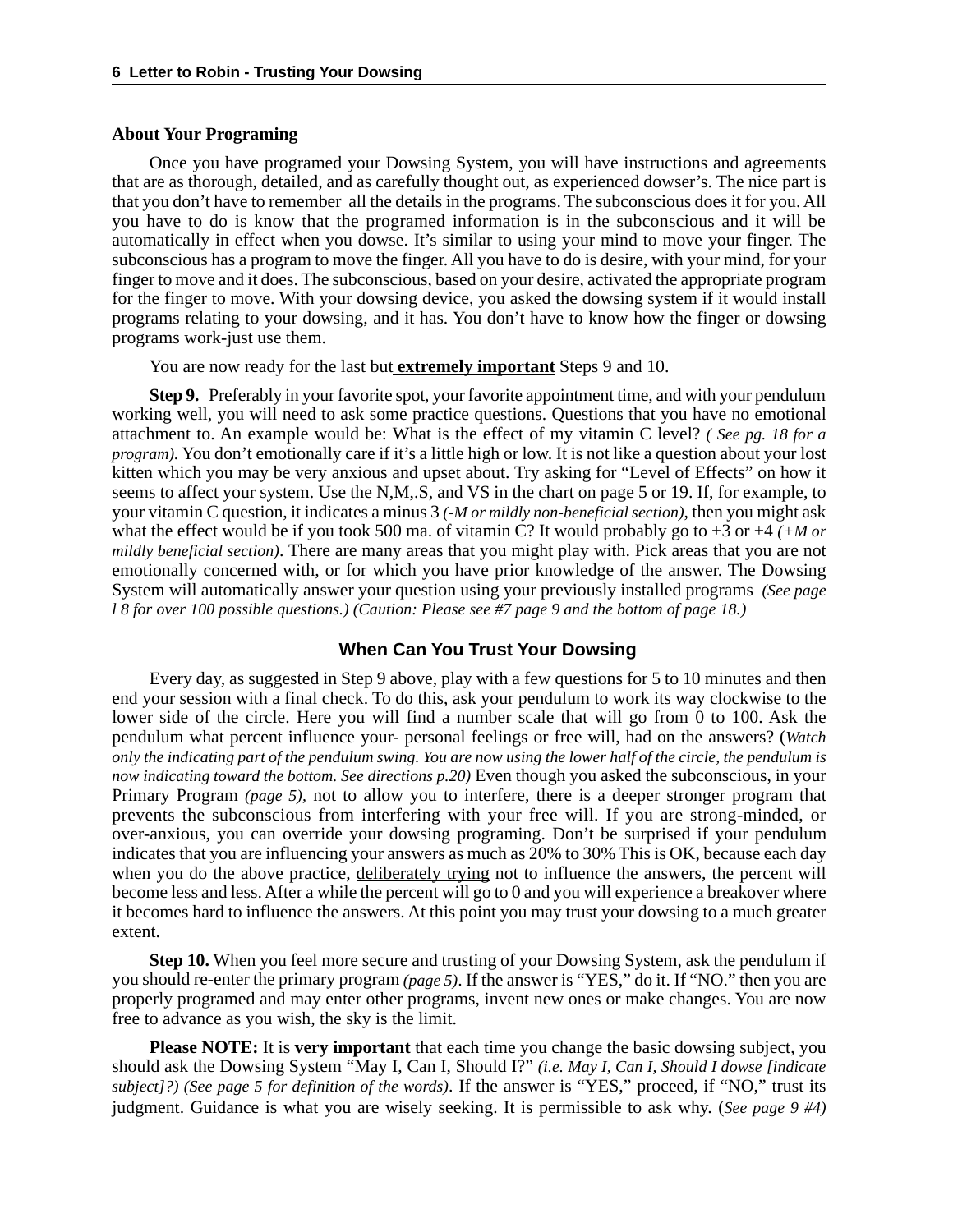#### **About Your Programing**

Once you have programed your Dowsing System, you will have instructions and agreements that are as thorough, detailed, and as carefully thought out, as experienced dowser's. The nice part is that you don't have to remember all the details in the programs. The subconscious does it for you. All you have to do is know that the programed information is in the subconscious and it will be automatically in effect when you dowse. It's similar to using your mind to move your finger. The subconscious has a program to move the finger. All you have to do is desire, with your mind, for your finger to move and it does. The subconscious, based on your desire, activated the appropriate program for the finger to move. With your dowsing device, you asked the dowsing system if it would install programs relating to your dowsing, and it has. You don't have to know how the finger or dowsing programs work-just use them.

You are now ready for the last but **extremely important** Steps 9 and 10.

**Step 9.** Preferably in your favorite spot, your favorite appointment time, and with your pendulum working well, you will need to ask some practice questions. Questions that you have no emotional attachment to. An example would be: What is the effect of my vitamin C level? *( See pg. 18 for a program).* You don't emotionally care if it's a little high or low. It is not like a question about your lost kitten which you may be very anxious and upset about. Try asking for "Level of Effects" on how it seems to affect your system. Use the N,M,.S, and VS in the chart on page 5 or 19. If, for example, to your vitamin C question, it indicates a minus 3 *(-M or mildly non-beneficial section)*, then you might ask what the effect would be if you took 500 ma. of vitamin C? It would probably go to +3 or +4 *(+M or mildly beneficial section)*. There are many areas that you might play with. Pick areas that you are not emotionally concerned with, or for which you have prior knowledge of the answer. The Dowsing System will automatically answer your question using your previously installed programs *(See page l 8 for over 100 possible questions.) (Caution: Please see #7 page 9 and the bottom of page 18.)*

#### **When Can You Trust Your Dowsing**

Every day, as suggested in Step 9 above, play with a few questions for 5 to 10 minutes and then end your session with a final check. To do this, ask your pendulum to work its way clockwise to the lower side of the circle. Here you will find a number scale that will go from 0 to 100. Ask the pendulum what percent influence your- personal feelings or free will, had on the answers? (*Watch only the indicating part of the pendulum swing. You are now using the lower half of the circle, the pendulum is now indicating toward the bottom. See directions p.20)* Even though you asked the subconscious, in your Primary Program *(page 5),* not to allow you to interfere, there is a deeper stronger program that prevents the subconscious from interfering with your free will. If you are strong-minded, or over-anxious, you can override your dowsing programing. Don't be surprised if your pendulum indicates that you are influencing your answers as much as 20% to 30% This is OK, because each day when you do the above practice, deliberately trying not to influence the answers, the percent will become less and less. After a while the percent will go to 0 and you will experience a breakover where it becomes hard to influence the answers. At this point you may trust your dowsing to a much greater extent.

**Step 10.** When you feel more secure and trusting of your Dowsing System, ask the pendulum if you should re-enter the primary program *(page 5)*. If the answer is "YES," do it. If "NO." then you are properly programed and may enter other programs, invent new ones or make changes. You are now free to advance as you wish, the sky is the limit.

**Please NOTE:** It is **very important** that each time you change the basic dowsing subject, you should ask the Dowsing System "May I, Can I, Should I?" *(i.e. May I, Can I, Should I dowse [indicate subject]?) (See page 5 for definition of the words)*. If the answer is "YES," proceed, if "NO," trust its judgment. Guidance is what you are wisely seeking. It is permissible to ask why. (*See page 9 #4)*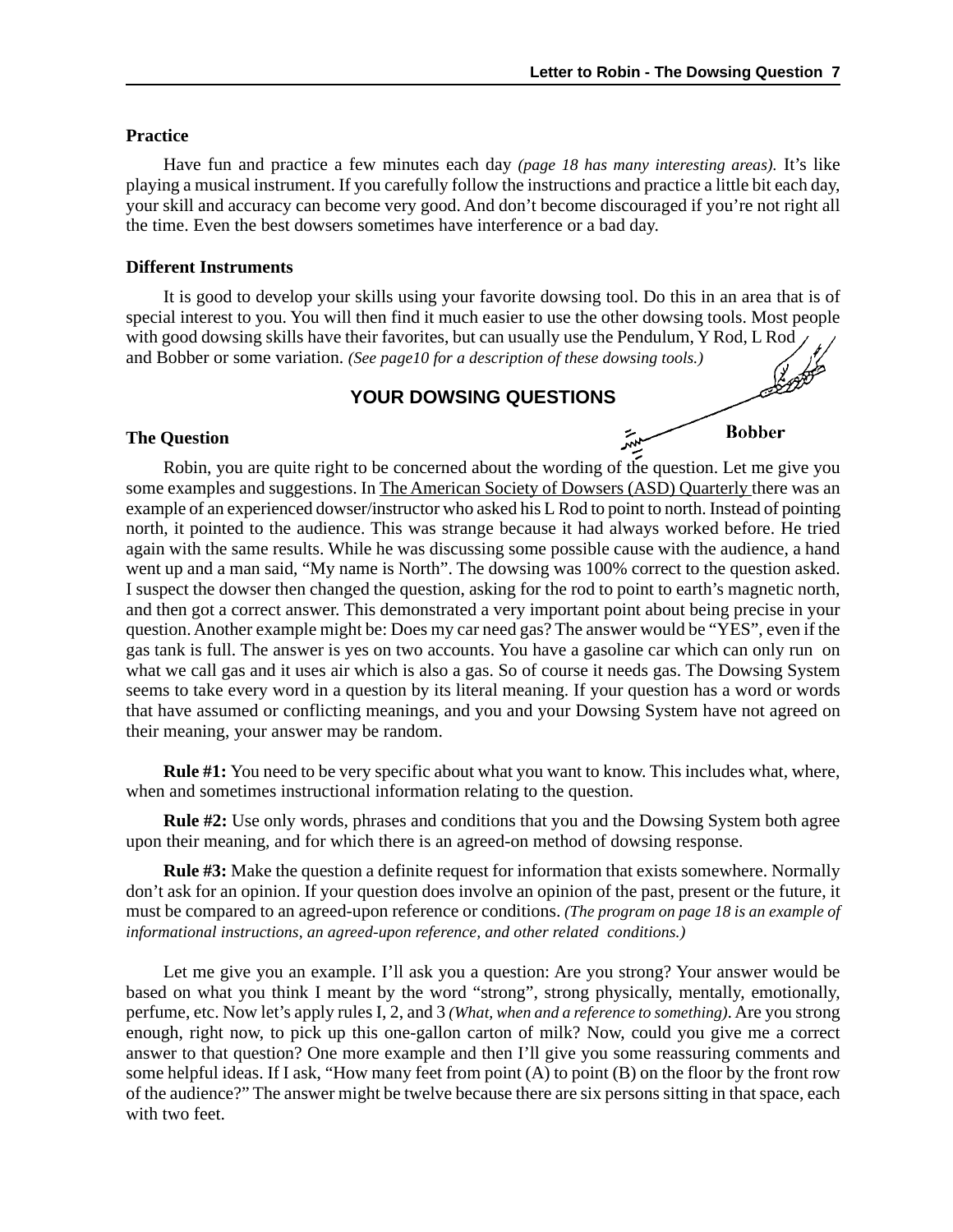**Bobber** 

مبهر

#### **Practice**

Have fun and practice a few minutes each day *(page 18 has many interesting areas).* It's like playing a musical instrument. If you carefully follow the instructions and practice a little bit each day, your skill and accuracy can become very good. And don't become discouraged if you're not right all the time. Even the best dowsers sometimes have interference or a bad day.

#### **Different Instruments**

It is good to develop your skills using your favorite dowsing tool. Do this in an area that is of special interest to you. You will then find it much easier to use the other dowsing tools. Most people with good dowsing skills have their favorites, but can usually use the Pendulum, Y Rod, L Rod and Bobber or some variation. *(See page10 for a description of these dowsing tools.)*

#### **YOUR DOWSING QUESTIONS**

#### **The Question**

Robin, you are quite right to be concerned about the wording of the question. Let me give you some examples and suggestions. In The American Society of Dowsers (ASD) Quarterly there was an example of an experienced dowser/instructor who asked his L Rod to point to north. Instead of pointing north, it pointed to the audience. This was strange because it had always worked before. He tried again with the same results. While he was discussing some possible cause with the audience, a hand went up and a man said, "My name is North". The dowsing was 100% correct to the question asked. I suspect the dowser then changed the question, asking for the rod to point to earth's magnetic north, and then got a correct answer. This demonstrated a very important point about being precise in your question. Another example might be: Does my car need gas? The answer would be "YES", even if the gas tank is full. The answer is yes on two accounts. You have a gasoline car which can only run on what we call gas and it uses air which is also a gas. So of course it needs gas. The Dowsing System seems to take every word in a question by its literal meaning. If your question has a word or words that have assumed or conflicting meanings, and you and your Dowsing System have not agreed on their meaning, your answer may be random.

**Rule #1:** You need to be very specific about what you want to know. This includes what, where, when and sometimes instructional information relating to the question.

**Rule #2:** Use only words, phrases and conditions that you and the Dowsing System both agree upon their meaning, and for which there is an agreed-on method of dowsing response.

**Rule #3:** Make the question a definite request for information that exists somewhere. Normally don't ask for an opinion. If your question does involve an opinion of the past, present or the future, it must be compared to an agreed-upon reference or conditions. *(The program on page 18 is an example of informational instructions, an agreed-upon reference, and other related conditions.)*

Let me give you an example. I'll ask you a question: Are you strong? Your answer would be based on what you think I meant by the word "strong", strong physically, mentally, emotionally, perfume, etc. Now let's apply rules I, 2, and 3 *(What, when and a reference to something)*. Are you strong enough, right now, to pick up this one-gallon carton of milk? Now, could you give me a correct answer to that question? One more example and then I'll give you some reassuring comments and some helpful ideas. If I ask, "How many feet from point (A) to point (B) on the floor by the front row of the audience?" The answer might be twelve because there are six persons sitting in that space, each with two feet.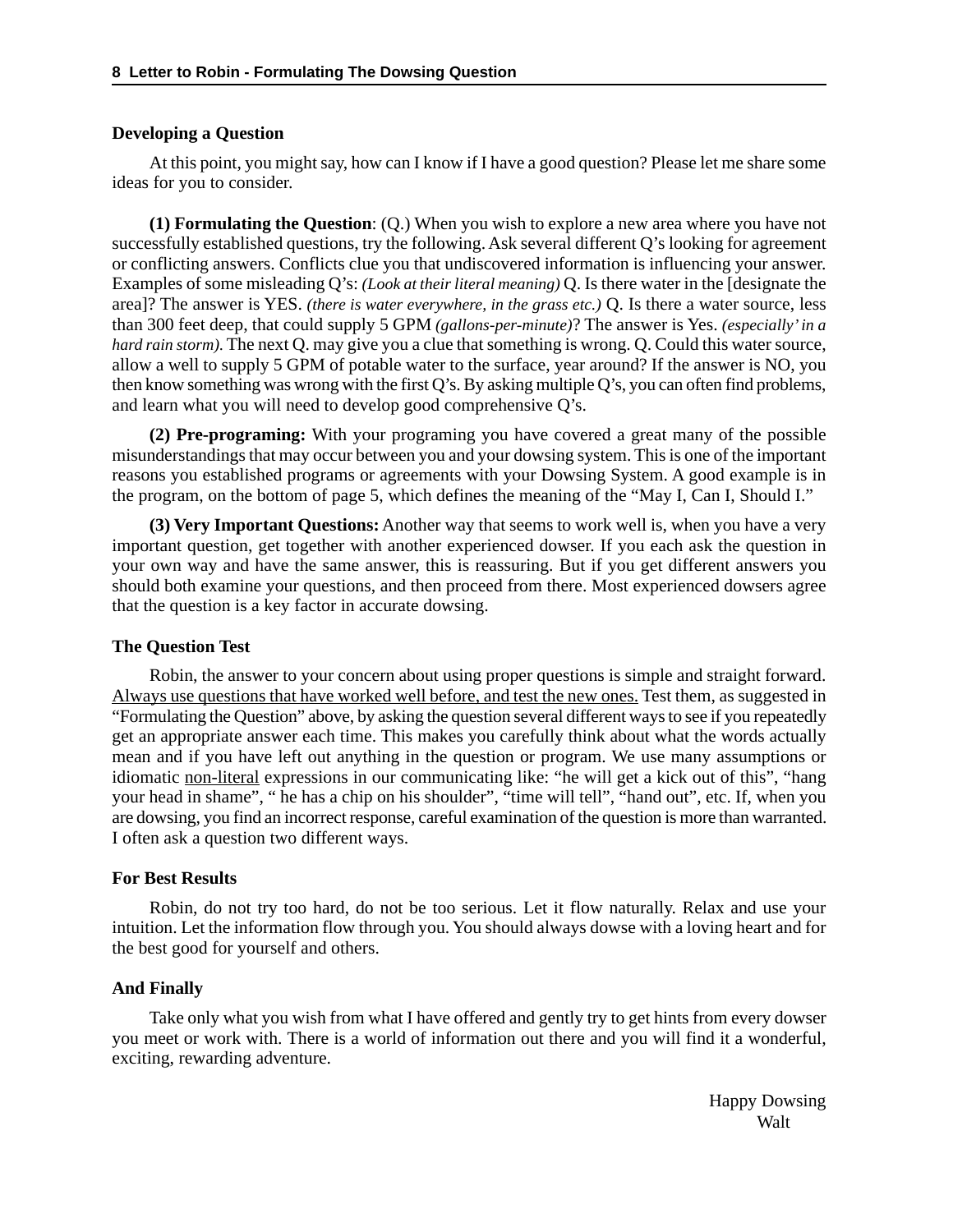#### **Developing a Question**

At this point, you might say, how can I know if I have a good question? Please let me share some ideas for you to consider.

**(1) Formulating the Question**: (Q.) When you wish to explore a new area where you have not successfully established questions, try the following. Ask several different Q's looking for agreement or conflicting answers. Conflicts clue you that undiscovered information is influencing your answer. Examples of some misleading Q's: *(Look at their literal meaning)* Q. Is there water in the [designate the area]? The answer is YES. *(there is water everywhere, in the grass etc.)* Q. Is there a water source, less than 300 feet deep, that could supply 5 GPM *(gallons-per-minute)*? The answer is Yes. *(especially' in a hard rain storm).* The next Q. may give you a clue that something is wrong. Q. Could this water source, allow a well to supply 5 GPM of potable water to the surface, year around? If the answer is NO, you then know something was wrong with the first Q's. By asking multiple Q's, you can often find problems, and learn what you will need to develop good comprehensive Q's.

**(2) Pre-programing:** With your programing you have covered a great many of the possible misunderstandings that may occur between you and your dowsing system. This is one of the important reasons you established programs or agreements with your Dowsing System. A good example is in the program, on the bottom of page 5, which defines the meaning of the "May I, Can I, Should I."

**(3) Very Important Questions:** Another way that seems to work well is, when you have a very important question, get together with another experienced dowser. If you each ask the question in your own way and have the same answer, this is reassuring. But if you get different answers you should both examine your questions, and then proceed from there. Most experienced dowsers agree that the question is a key factor in accurate dowsing.

#### **The Question Test**

Robin, the answer to your concern about using proper questions is simple and straight forward. Always use questions that have worked well before, and test the new ones. Test them, as suggested in "Formulating the Question" above, by asking the question several different ways to see if you repeatedly get an appropriate answer each time. This makes you carefully think about what the words actually mean and if you have left out anything in the question or program. We use many assumptions or idiomatic non-literal expressions in our communicating like: "he will get a kick out of this", "hang your head in shame", " he has a chip on his shoulder", "time will tell", "hand out", etc. If, when you are dowsing, you find an incorrect response, careful examination of the question is more than warranted. I often ask a question two different ways.

#### **For Best Results**

Robin, do not try too hard, do not be too serious. Let it flow naturally. Relax and use your intuition. Let the information flow through you. You should always dowse with a loving heart and for the best good for yourself and others.

#### **And Finally**

Take only what you wish from what I have offered and gently try to get hints from every dowser you meet or work with. There is a world of information out there and you will find it a wonderful, exciting, rewarding adventure.

> Happy Dowsing **Walt**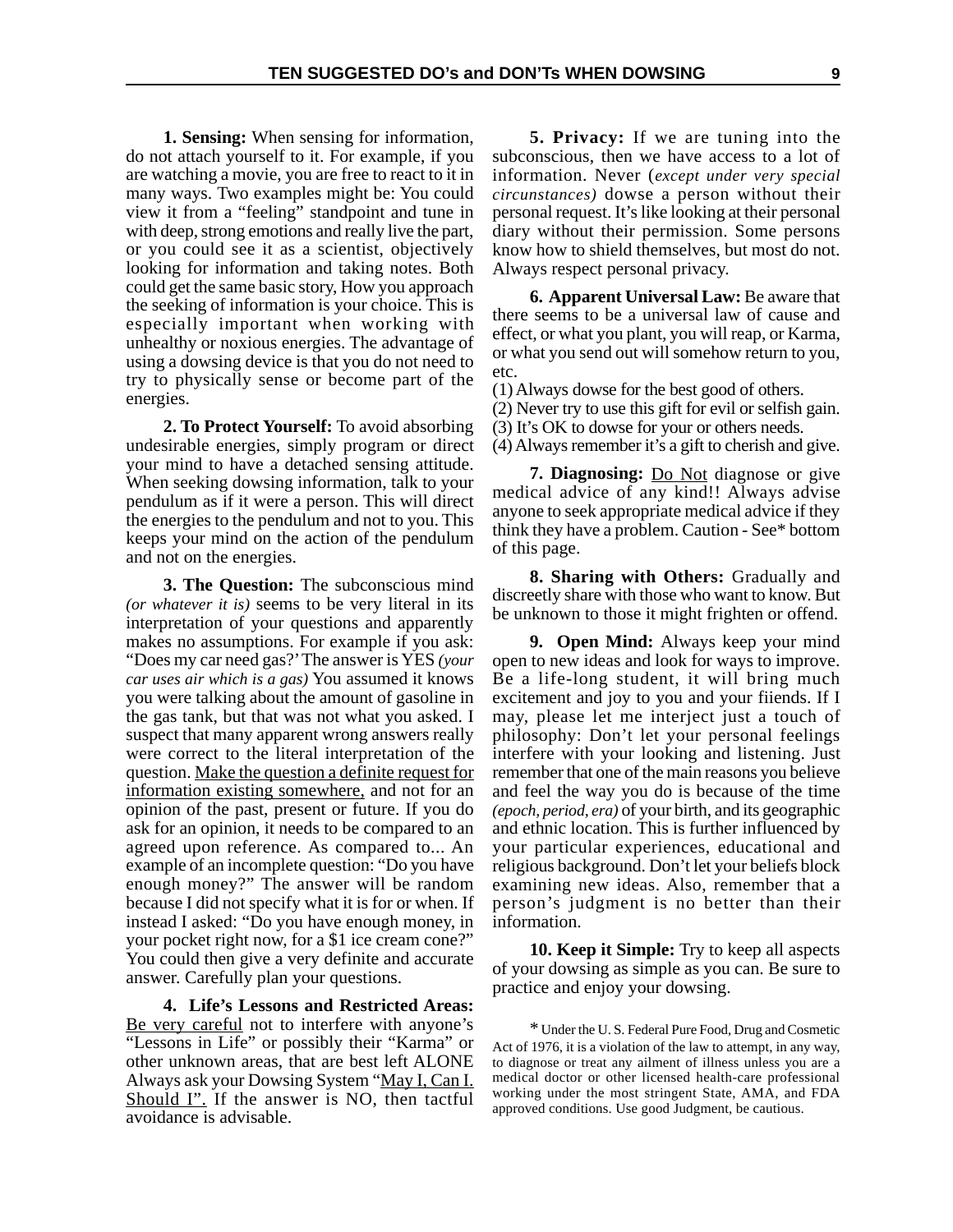**1. Sensing:** When sensing for information, do not attach yourself to it. For example, if you are watching a movie, you are free to react to it in many ways. Two examples might be: You could view it from a "feeling" standpoint and tune in with deep, strong emotions and really live the part, or you could see it as a scientist, objectively looking for information and taking notes. Both could get the same basic story, How you approach the seeking of information is your choice. This is especially important when working with unhealthy or noxious energies. The advantage of using a dowsing device is that you do not need to try to physically sense or become part of the energies.

**2. To Protect Yourself:** To avoid absorbing undesirable energies, simply program or direct your mind to have a detached sensing attitude. When seeking dowsing information, talk to your pendulum as if it were a person. This will direct the energies to the pendulum and not to you. This keeps your mind on the action of the pendulum and not on the energies.

**3. The Question:** The subconscious mind *(or whatever it is)* seems to be very literal in its interpretation of your questions and apparently makes no assumptions. For example if you ask: "Does my car need gas?' The answer is YES *(your car uses air which is a gas)* You assumed it knows you were talking about the amount of gasoline in the gas tank, but that was not what you asked. I suspect that many apparent wrong answers really were correct to the literal interpretation of the question. Make the question a definite request for information existing somewhere, and not for an opinion of the past, present or future. If you do ask for an opinion, it needs to be compared to an agreed upon reference. As compared to... An example of an incomplete question: "Do you have enough money?" The answer will be random because I did not specify what it is for or when. If instead I asked: "Do you have enough money, in your pocket right now, for a \$1 ice cream cone?" You could then give a very definite and accurate answer. Carefully plan your questions.

**4. Life's Lessons and Restricted Areas:** Be very careful not to interfere with anyone's "Lessons in Life" or possibly their "Karma" or other unknown areas, that are best left ALONE Always ask your Dowsing System "May I, Can I. Should I". If the answer is NO, then tactful avoidance is advisable.

**5. Privacy:** If we are tuning into the subconscious, then we have access to a lot of information. Never (*except under very special circunstances)* dowse a person without their personal request. It's like looking at their personal diary without their permission. Some persons know how to shield themselves, but most do not. Always respect personal privacy.

**6. Apparent Universal Law:** Be aware that there seems to be a universal law of cause and effect, or what you plant, you will reap, or Karma, or what you send out will somehow return to you, etc.

(1) Always dowse for the best good of others.

- (2) Never try to use this gift for evil or selfish gain.
- (3) It's OK to dowse for your or others needs.

(4) Always remember it's a gift to cherish and give.

**7. Diagnosing:** Do Not diagnose or give medical advice of any kind!! Always advise anyone to seek appropriate medical advice if they think they have a problem. Caution - See\* bottom of this page.

**8. Sharing with Others:** Gradually and discreetly share with those who want to know. But be unknown to those it might frighten or offend.

**9. Open Mind:** Always keep your mind open to new ideas and look for ways to improve. Be a life-long student, it will bring much excitement and joy to you and your fiiends. If I may, please let me interject just a touch of philosophy: Don't let your personal feelings interfere with your looking and listening. Just remember that one of the main reasons you believe and feel the way you do is because of the time *(epoch, period, era)* of your birth, and its geographic and ethnic location. This is further influenced by your particular experiences, educational and religious background. Don't let your beliefs block examining new ideas. Also, remember that a person's judgment is no better than their information.

**10. Keep it Simple:** Try to keep all aspects of your dowsing as simple as you can. Be sure to practice and enjoy your dowsing.

\* Under the U. S. Federal Pure Food, Drug and Cosmetic Act of 1976, it is a violation of the law to attempt, in any way, to diagnose or treat any ailment of illness unless you are a medical doctor or other licensed health-care professional working under the most stringent State, AMA, and FDA approved conditions. Use good Judgment, be cautious.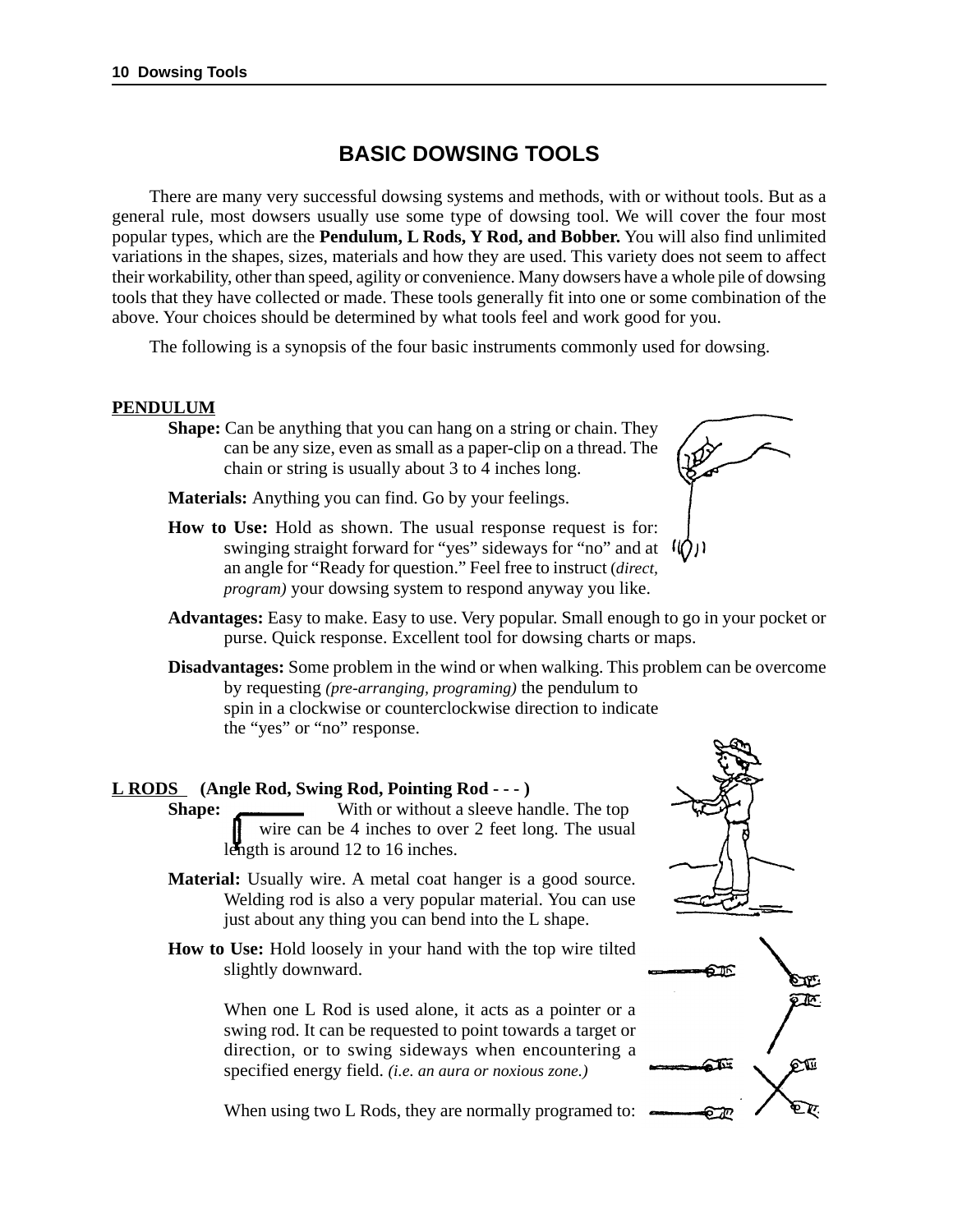## **BASIC DOWSING TOOLS**

There are many very successful dowsing systems and methods, with or without tools. But as a general rule, most dowsers usually use some type of dowsing tool. We will cover the four most popular types, which are the **Pendulum, L Rods, Y Rod, and Bobber.** You will also find unlimited variations in the shapes, sizes, materials and how they are used. This variety does not seem to affect their workability, other than speed, agility or convenience. Many dowsers have a whole pile of dowsing tools that they have collected or made. These tools generally fit into one or some combination of the above. Your choices should be determined by what tools feel and work good for you.

The following is a synopsis of the four basic instruments commonly used for dowsing.

#### **PENDULUM**

**Shape:** Can be anything that you can hang on a string or chain. They can be any size, even as small as a paper-clip on a thread. The chain or string is usually about 3 to 4 inches long.

**Materials:** Anything you can find. Go by your feelings.

**How to Use:** Hold as shown. The usual response request is for: swinging straight forward for "yes" sideways for "no" and at  $\mathcal{U}(x)$ an angle for "Ready for question." Feel free to instruct (*direct, program)* your dowsing system to respond anyway you like.



- **Advantages:** Easy to make. Easy to use. Very popular. Small enough to go in your pocket or purse. Quick response. Excellent tool for dowsing charts or maps.
- **Disadvantages:** Some problem in the wind or when walking. This problem can be overcome by requesting *(pre-arranging, programing)* the pendulum to spin in a clockwise or counterclockwise direction to indicate the "yes" or "no" response.

#### **L RODS (Angle Rod, Swing Rod, Pointing Rod - - - )**

**Shape:** With or without a sleeve handle. The top wire can be 4 inches to over 2 feet long. The usual length is around 12 to 16 inches.

- **Material:** Usually wire. A metal coat hanger is a good source. Welding rod is also a very popular material. You can use just about any thing you can bend into the L shape.
- **How to Use:** Hold loosely in your hand with the top wire tilted slightly downward.

When one L Rod is used alone, it acts as a pointer or a swing rod. It can be requested to point towards a target or direction, or to swing sideways when encountering a specified energy field. *(i.e. an aura or noxious zone.)*





When using two L Rods, they are normally programed to:  $\epsilon$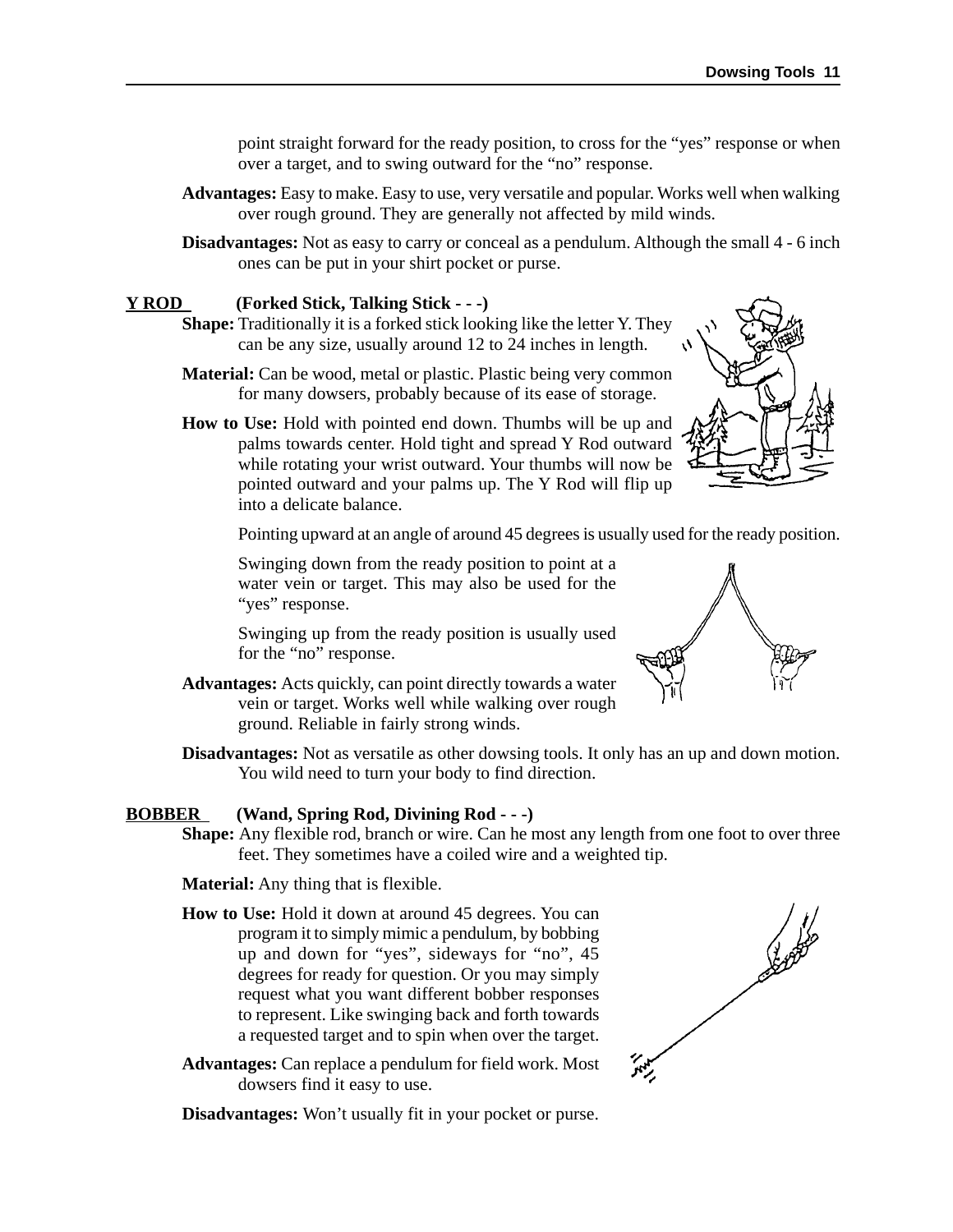point straight forward for the ready position, to cross for the "yes" response or when over a target, and to swing outward for the "no" response.

- **Advantages:** Easy to make. Easy to use, very versatile and popular. Works well when walking over rough ground. They are generally not affected by mild winds.
- **Disadvantages:** Not as easy to carry or conceal as a pendulum. Although the small 4 6 inch ones can be put in your shirt pocket or purse.

#### **Y ROD (Forked Stick, Talking Stick - - -)**

- **Shape:** Traditionally it is a forked stick looking like the letter Y. They can be any size, usually around 12 to 24 inches in length.
- **Material:** Can be wood, metal or plastic. Plastic being very common for many dowsers, probably because of its ease of storage.
- **How to Use:** Hold with pointed end down. Thumbs will be up and palms towards center. Hold tight and spread Y Rod outward while rotating your wrist outward. Your thumbs will now be pointed outward and your palms up. The Y Rod will flip up into a delicate balance.

Pointing upward at an angle of around 45 degrees is usually used for the ready position.

Swinging down from the ready position to point at a water vein or target. This may also be used for the "yes" response.

Swinging up from the ready position is usually used for the "no" response.

- **Advantages:** Acts quickly, can point directly towards a water vein or target. Works well while walking over rough ground. Reliable in fairly strong winds.
- **Disadvantages:** Not as versatile as other dowsing tools. It only has an up and down motion. You wild need to turn your body to find direction.

#### **BOBBER (Wand, Spring Rod, Divining Rod - - -)**

**Shape:** Any flexible rod, branch or wire. Can he most any length from one foot to over three feet. They sometimes have a coiled wire and a weighted tip.

**Material:** Any thing that is flexible.

- **How to Use:** Hold it down at around 45 degrees. You can program it to simply mimic a pendulum, by bobbing up and down for "yes", sideways for "no", 45 degrees for ready for question. Or you may simply request what you want different bobber responses to represent. Like swinging back and forth towards a requested target and to spin when over the target.
- **Advantages:** Can replace a pendulum for field work. Most dowsers find it easy to use.

**Disadvantages:** Won't usually fit in your pocket or purse.





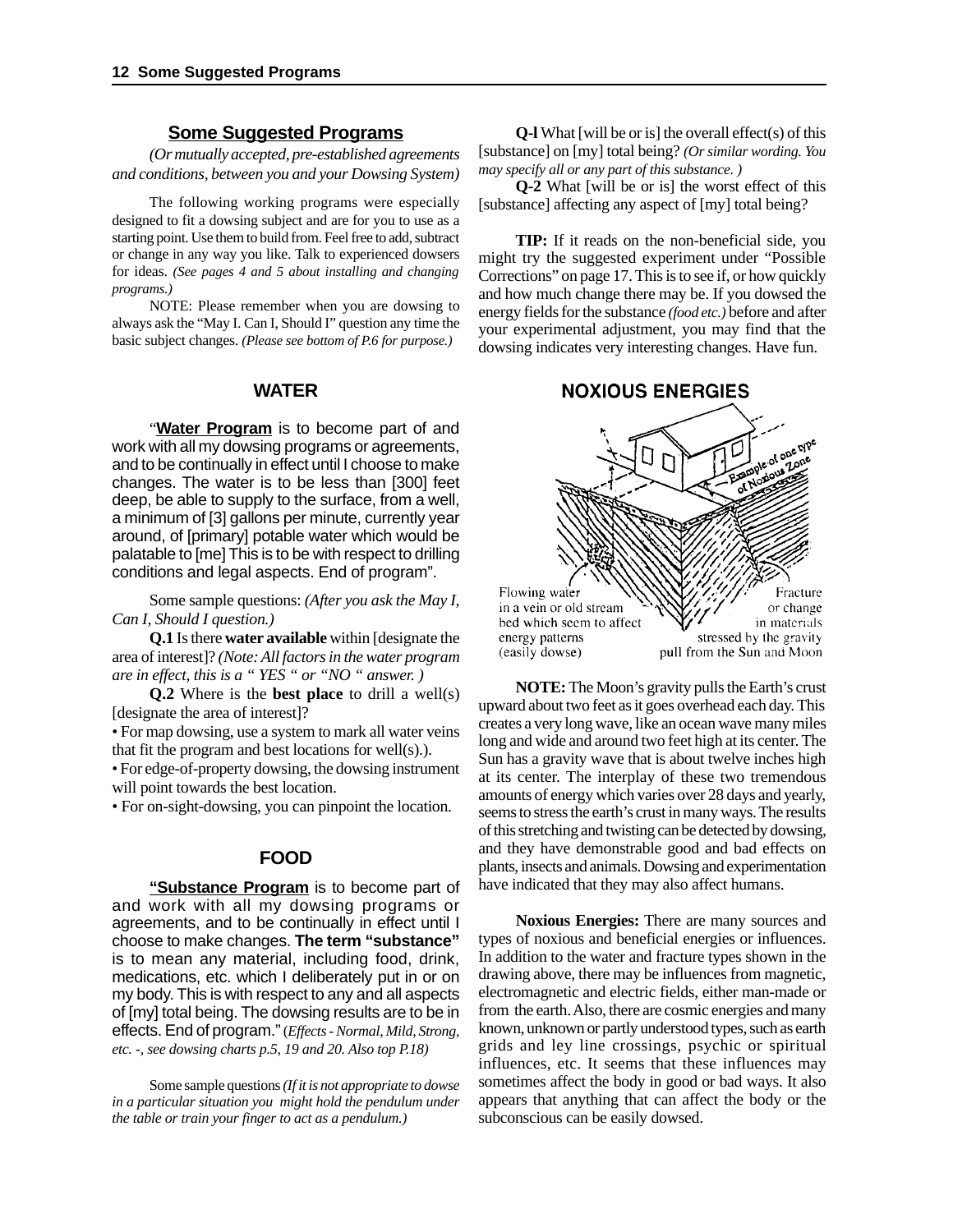#### **Some Suggested Programs**

*(Or mutually accepted, pre-established agreements and conditions, between you and your Dowsing System)*

The following working programs were especially designed to fit a dowsing subject and are for you to use as a starting point. Use them to build from. Feel free to add, subtract or change in any way you like. Talk to experienced dowsers for ideas. *(See pages 4 and 5 about installing and changing programs.)*

NOTE: Please remember when you are dowsing to always ask the "May I. Can I, Should I" question any time the basic subject changes. *(Please see bottom of P.6 for purpose.)*

#### **WATER**

"**Water Program** is to become part of and work with all my dowsing programs or agreements, and to be continually in effect until I choose to make changes. The water is to be less than [300] feet deep, be able to supply to the surface, from a well, a minimum of [3] gallons per minute, currently year around, of [primary] potable water which would be palatable to [me] This is to be with respect to drilling conditions and legal aspects. End of program".

Some sample questions: *(After you ask the May I, Can I, Should I question.)*

**Q.1** Is there **water available** within [designate the area of interest]? *(Note: All factors in the water program are in effect, this is a " YES " or "NO " answer. )*

**Q.2** Where is the **best place** to drill a well(s) [designate the area of interest]?

• For map dowsing, use a system to mark all water veins that fit the program and best locations for well(s).).

• For edge-of-property dowsing, the dowsing instrument will point towards the best location.

• For on-sight-dowsing, you can pinpoint the location.

#### **FOOD**

**"Substance Program** is to become part of and work with all my dowsing programs or agreements, and to be continually in effect until I choose to make changes. **The term "substance"** is to mean any material, including food, drink, medications, etc. which I deliberately put in or on my body. This is with respect to any and all aspects of [my] total being. The dowsing results are to be in effects. End of program."(*Effects - Normal, Mild, Strong, etc. -, see dowsing charts p.5, 19 and 20. Also top P.18)*

Some sample questions *(If it is not appropriate to dowse in a particular situation you might hold the pendulum under the table or train your finger to act as a pendulum.)*

**Q-l** What [will be or is] the overall effect(s) of this [substance] on [my] total being? *(Or similar wording. You may specify all or any part of this substance. )*

**Q-2** What [will be or is] the worst effect of this [substance] affecting any aspect of [my] total being?

**TIP:** If it reads on the non-beneficial side, you might try the suggested experiment under "Possible Corrections" on page 17. This is to see if, or how quickly and how much change there may be. If you dowsed the energy fields for the substance *(food etc.)* before and after your experimental adjustment, you may find that the dowsing indicates very interesting changes. Have fun.

#### **NOXIOUS ENERGIES**



**NOTE:** The Moon's gravity pulls the Earth's crust upward about two feet as it goes overhead each day. This creates a very long wave, like an ocean wave many miles long and wide and around two feet high at its center. The Sun has a gravity wave that is about twelve inches high at its center. The interplay of these two tremendous amounts of energy which varies over 28 days and yearly, seems to stress the earth's crust in many ways. The results of this stretching and twisting can be detected by dowsing, and they have demonstrable good and bad effects on plants, insects and animals. Dowsing and experimentation have indicated that they may also affect humans.

**Noxious Energies:** There are many sources and types of noxious and beneficial energies or influences. In addition to the water and fracture types shown in the drawing above, there may be influences from magnetic, electromagnetic and electric fields, either man-made or from the earth. Also, there are cosmic energies and many known, unknown or partly understood types, such as earth grids and ley line crossings, psychic or spiritual influences, etc. It seems that these influences may sometimes affect the body in good or bad ways. It also appears that anything that can affect the body or the subconscious can be easily dowsed.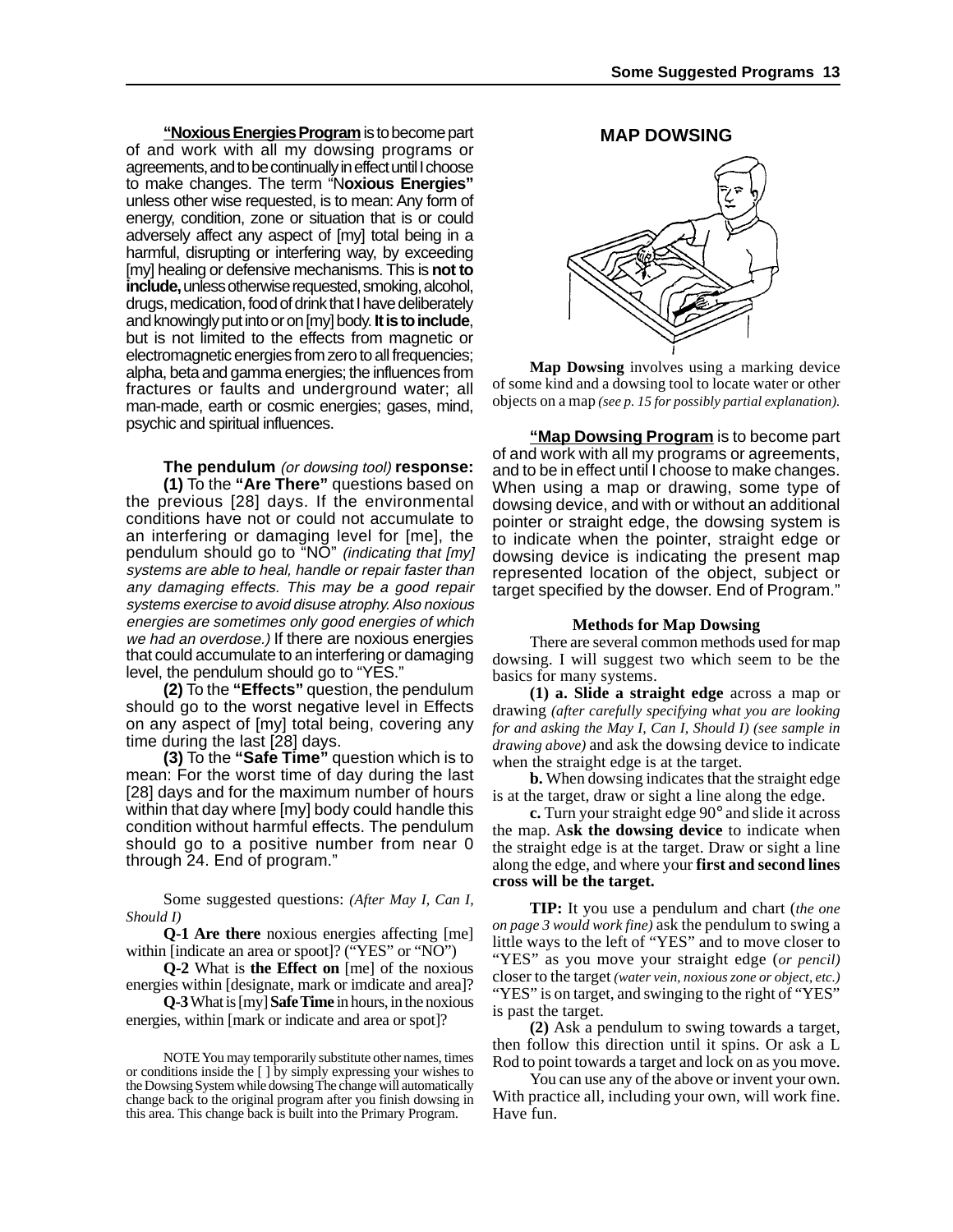**"Noxious Energies Program** is to become part of and work with all my dowsing programs or agreements, and to be continually in effect until I choose to make changes. The term "N**oxious Energies"** unless other wise requested, is to mean: Any form of energy, condition, zone or situation that is or could adversely affect any aspect of [my] total being in a harmful, disrupting or interfering way, by exceeding [my] healing or defensive mechanisms. This is **not to include,** unless otherwise requested, smoking, alcohol, drugs, medication, food of drink that I have deliberately and knowingly put into or on [my] body. **It is to include**, but is not limited to the effects from magnetic or electromagnetic energies from zero to all frequencies; alpha, beta and gamma energies; the influences from fractures or faults and underground water; all man-made, earth or cosmic energies; gases, mind, psychic and spiritual influences.

#### **The pendulum** (or dowsing tool) **response:**

**(1)** To the **"Are There"** questions based on the previous [28] days. If the environmental conditions have not or could not accumulate to an interfering or damaging level for [me], the pendulum should go to "NO" (indicating that [my] systems are able to heal, handle or repair faster than any damaging effects. This may be a good repair systems exercise to avoid disuse atrophy. Also noxious energies are sometimes only good energies of which we had an overdose.) If there are noxious energies that could accumulate to an interfering or damaging level, the pendulum should go to "YES."

**(2)** To the **"Effects"** question, the pendulum should go to the worst negative level in Effects on any aspect of [my] total being, covering any time during the last [28] days.

**(3)** To the **"Safe Time"** question which is to mean: For the worst time of day during the last [28] days and for the maximum number of hours within that day where [my] body could handle this condition without harmful effects. The pendulum should go to a positive number from near 0 through 24. End of program."

Some suggested questions: *(After May I, Can I, Should I)*

**Q-1 Are there** noxious energies affecting [me] within [indicate an area or spoot]? ("YES" or "NO")

**Q-2** What is **the Effect on** [me] of the noxious energies within [designate, mark or imdicate and area]?

**Q-3** What is [my] **Safe Time** in hours, in the noxious energies, within [mark or indicate and area or spot]?

#### **MAP DOWSING**



**Map Dowsing** involves using a marking device of some kind and a dowsing tool to locate water or other objects on a map *(see p. 15 for possibly partial explanation).*

**"Map Dowsing Program** is to become part of and work with all my programs or agreements, and to be in effect until I choose to make changes. When using a map or drawing, some type of dowsing device, and with or without an additional pointer or straight edge, the dowsing system is to indicate when the pointer, straight edge or dowsing device is indicating the present map represented location of the object, subject or target specified by the dowser. End of Program."

#### **Methods for Map Dowsing**

There are several common methods used for map dowsing. I will suggest two which seem to be the basics for many systems.

**(1) a. Slide a straight edge** across a map or drawing *(after carefully specifying what you are looking for and asking the May I, Can I, Should I) (see sample in drawing above)* and ask the dowsing device to indicate when the straight edge is at the target.

**b.** When dowsing indicates that the straight edge is at the target, draw or sight a line along the edge.

**c.** Turn your straight edge 90° and slide it across the map. A**sk the dowsing device** to indicate when the straight edge is at the target. Draw or sight a line along the edge, and where your **first and second lines cross will be the target.**

**TIP:** It you use a pendulum and chart (*the one on page 3 would work fine)* ask the pendulum to swing a little ways to the left of "YES" and to move closer to "YES" as you move your straight edge (*or pencil)* closer to the target *(water vein, noxious zone or object, etc.)* "YES" is on target, and swinging to the right of "YES" is past the target.

**(2)** Ask a pendulum to swing towards a target, then follow this direction until it spins. Or ask a L Rod to point towards a target and lock on as you move.

You can use any of the above or invent your own. With practice all, including your own, will work fine. Have fun.

NOTE You may temporarily substitute other names, times or conditions inside the [ ] by simply expressing your wishes to the Dowsing System while dowsing The change will automatically change back to the original program after you finish dowsing in this area. This change back is built into the Primary Program.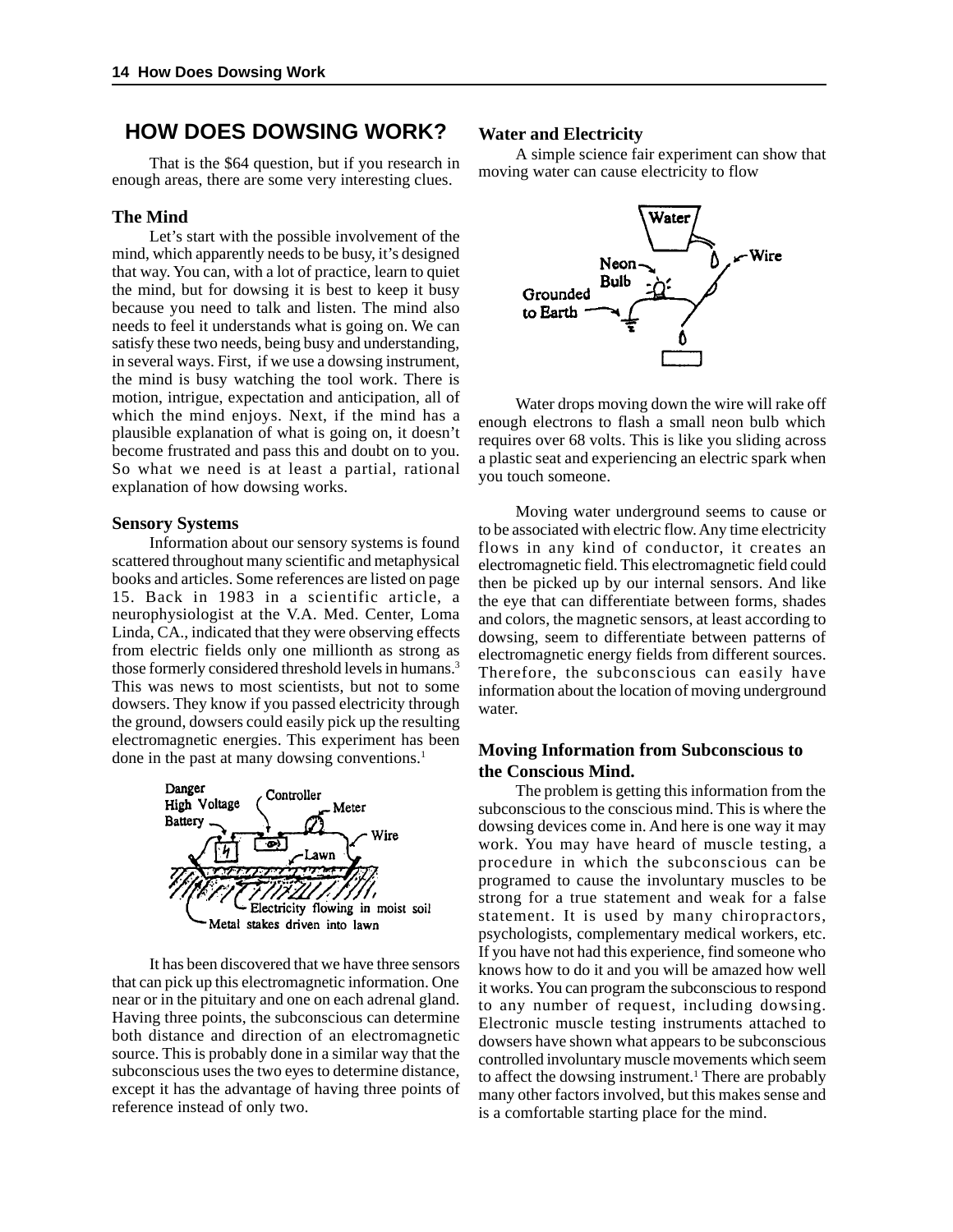#### **HOW DOES DOWSING WORK?**

That is the \$64 question, but if you research in enough areas, there are some very interesting clues.

#### **The Mind**

Let's start with the possible involvement of the mind, which apparently needs to be busy, it's designed that way. You can, with a lot of practice, learn to quiet the mind, but for dowsing it is best to keep it busy because you need to talk and listen. The mind also needs to feel it understands what is going on. We can satisfy these two needs, being busy and understanding, in several ways. First, if we use a dowsing instrument, the mind is busy watching the tool work. There is motion, intrigue, expectation and anticipation, all of which the mind enjoys. Next, if the mind has a plausible explanation of what is going on, it doesn't become frustrated and pass this and doubt on to you. So what we need is at least a partial, rational explanation of how dowsing works.

#### **Sensory Systems**

Information about our sensory systems is found scattered throughout many scientific and metaphysical books and articles. Some references are listed on page 15. Back in 1983 in a scientific article, a neurophysiologist at the V.A. Med. Center, Loma Linda, CA., indicated that they were observing effects from electric fields only one millionth as strong as those formerly considered threshold levels in humans.3 This was news to most scientists, but not to some dowsers. They know if you passed electricity through the ground, dowsers could easily pick up the resulting electromagnetic energies. This experiment has been done in the past at many dowsing conventions.<sup>1</sup>



It has been discovered that we have three sensors that can pick up this electromagnetic information. One near or in the pituitary and one on each adrenal gland. Having three points, the subconscious can determine both distance and direction of an electromagnetic source. This is probably done in a similar way that the subconscious uses the two eyes to determine distance, except it has the advantage of having three points of reference instead of only two.

#### **Water and Electricity**

A simple science fair experiment can show that moving water can cause electricity to flow



Water drops moving down the wire will rake off enough electrons to flash a small neon bulb which requires over 68 volts. This is like you sliding across a plastic seat and experiencing an electric spark when you touch someone.

Moving water underground seems to cause or to be associated with electric flow. Any time electricity flows in any kind of conductor, it creates an electromagnetic field. This electromagnetic field could then be picked up by our internal sensors. And like the eye that can differentiate between forms, shades and colors, the magnetic sensors, at least according to dowsing, seem to differentiate between patterns of electromagnetic energy fields from different sources. Therefore, the subconscious can easily have information about the location of moving underground water.

#### **Moving Information from Subconscious to the Conscious Mind.**

The problem is getting this information from the subconscious to the conscious mind. This is where the dowsing devices come in. And here is one way it may work. You may have heard of muscle testing, a procedure in which the subconscious can be programed to cause the involuntary muscles to be strong for a true statement and weak for a false statement. It is used by many chiropractors, psychologists, complementary medical workers, etc. If you have not had this experience, find someone who knows how to do it and you will be amazed how well it works. You can program the subconscious to respond to any number of request, including dowsing. Electronic muscle testing instruments attached to dowsers have shown what appears to be subconscious controlled involuntary muscle movements which seem to affect the dowsing instrument.<sup>1</sup> There are probably many other factors involved, but this makes sense and is a comfortable starting place for the mind.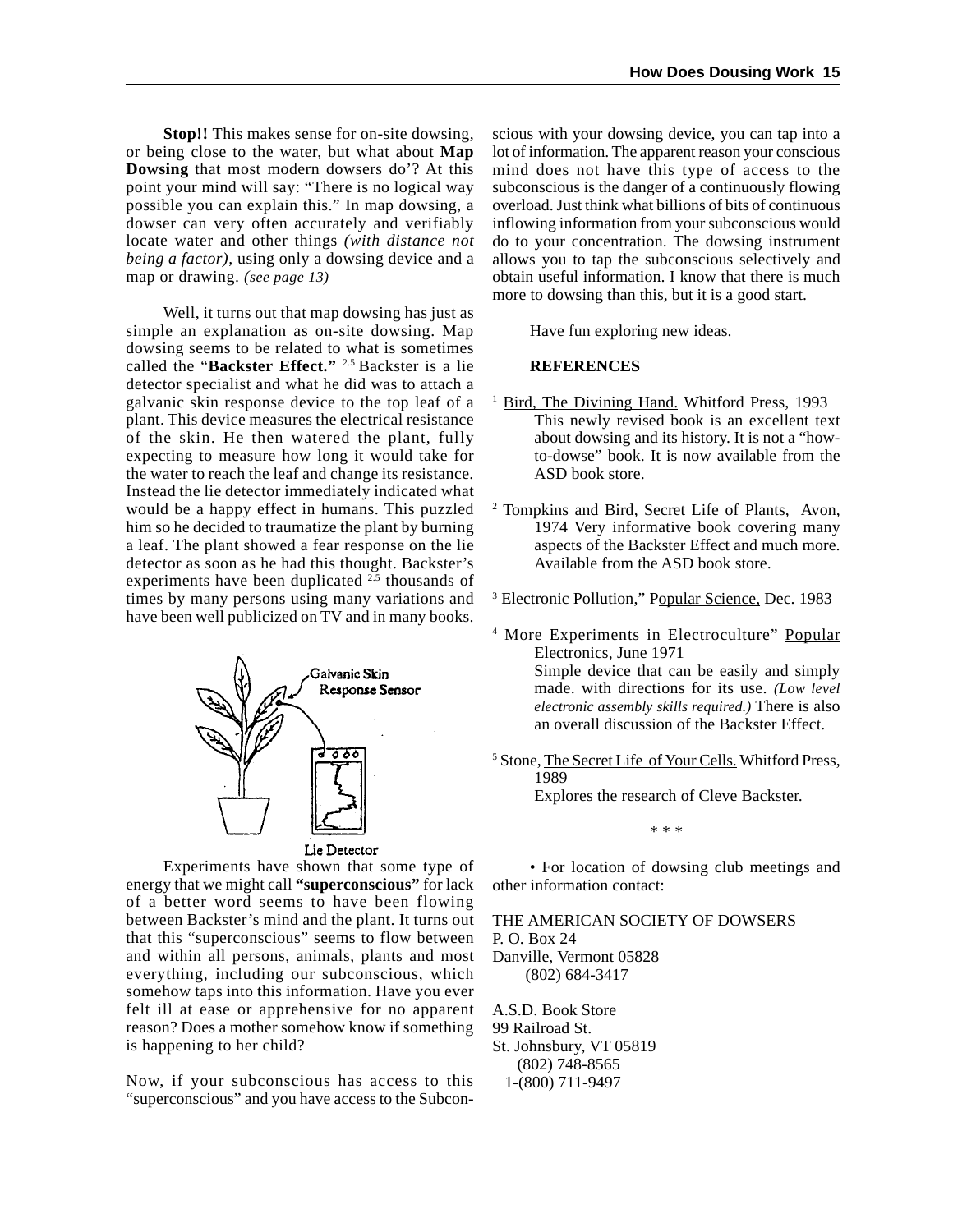**Stop!!** This makes sense for on-site dowsing, or being close to the water, but what about **Map Dowsing** that most modern dowsers do'? At this point your mind will say: "There is no logical way possible you can explain this." In map dowsing, a dowser can very often accurately and verifiably locate water and other things *(with distance not being a factor)*, using only a dowsing device and a map or drawing. *(see page 13)*

Well, it turns out that map dowsing has just as simple an explanation as on-site dowsing. Map dowsing seems to be related to what is sometimes called the "**Backster Effect."** 2.5 Backster is a lie detector specialist and what he did was to attach a galvanic skin response device to the top leaf of a plant. This device measures the electrical resistance of the skin. He then watered the plant, fully expecting to measure how long it would take for the water to reach the leaf and change its resistance. Instead the lie detector immediately indicated what would be a happy effect in humans. This puzzled him so he decided to traumatize the plant by burning a leaf. The plant showed a fear response on the lie detector as soon as he had this thought. Backster's experiments have been duplicated  $2.5$  thousands of times by many persons using many variations and have been well publicized on TV and in many books.



Experiments have shown that some type of energy that we might call **"superconscious"** for lack of a better word seems to have been flowing between Backster's mind and the plant. It turns out that this "superconscious" seems to flow between and within all persons, animals, plants and most everything, including our subconscious, which somehow taps into this information. Have you ever felt ill at ease or apprehensive for no apparent reason? Does a mother somehow know if something is happening to her child?

Now, if your subconscious has access to this "superconscious" and you have access to the Subconscious with your dowsing device, you can tap into a lot of information. The apparent reason your conscious mind does not have this type of access to the subconscious is the danger of a continuously flowing overload. Just think what billions of bits of continuous inflowing information from your subconscious would do to your concentration. The dowsing instrument allows you to tap the subconscious selectively and obtain useful information. I know that there is much more to dowsing than this, but it is a good start.

Have fun exploring new ideas.

#### **REFERENCES**

- <sup>1</sup> Bird, The Divining Hand. Whitford Press, 1993 This newly revised book is an excellent text about dowsing and its history. It is not a "howto-dowse" book. It is now available from the ASD book store.
- <sup>2</sup> Tompkins and Bird, **Secret Life of Plants**, Avon, 1974 Very informative book covering many aspects of the Backster Effect and much more. Available from the ASD book store.
- <sup>3</sup> Electronic Pollution," Popular Science, Dec. 1983
- <sup>4</sup> More Experiments in Electroculture" Popular Electronics, June 1971

Simple device that can be easily and simply made. with directions for its use. *(Low level electronic assembly skills required.)* There is also an overall discussion of the Backster Effect.

<sup>5</sup> Stone, The Secret Life of Your Cells. Whitford Press, 1989

Explores the research of Cleve Backster.

\* \* \*

• For location of dowsing club meetings and other information contact:

THE AMERICAN SOCIETY OF DOWSERS P. O. Box 24 Danville, Vermont 05828 (802) 684-3417

A.S.D. Book Store 99 Railroad St. St. Johnsbury, VT 05819 (802) 748-8565 1-(800) 711-9497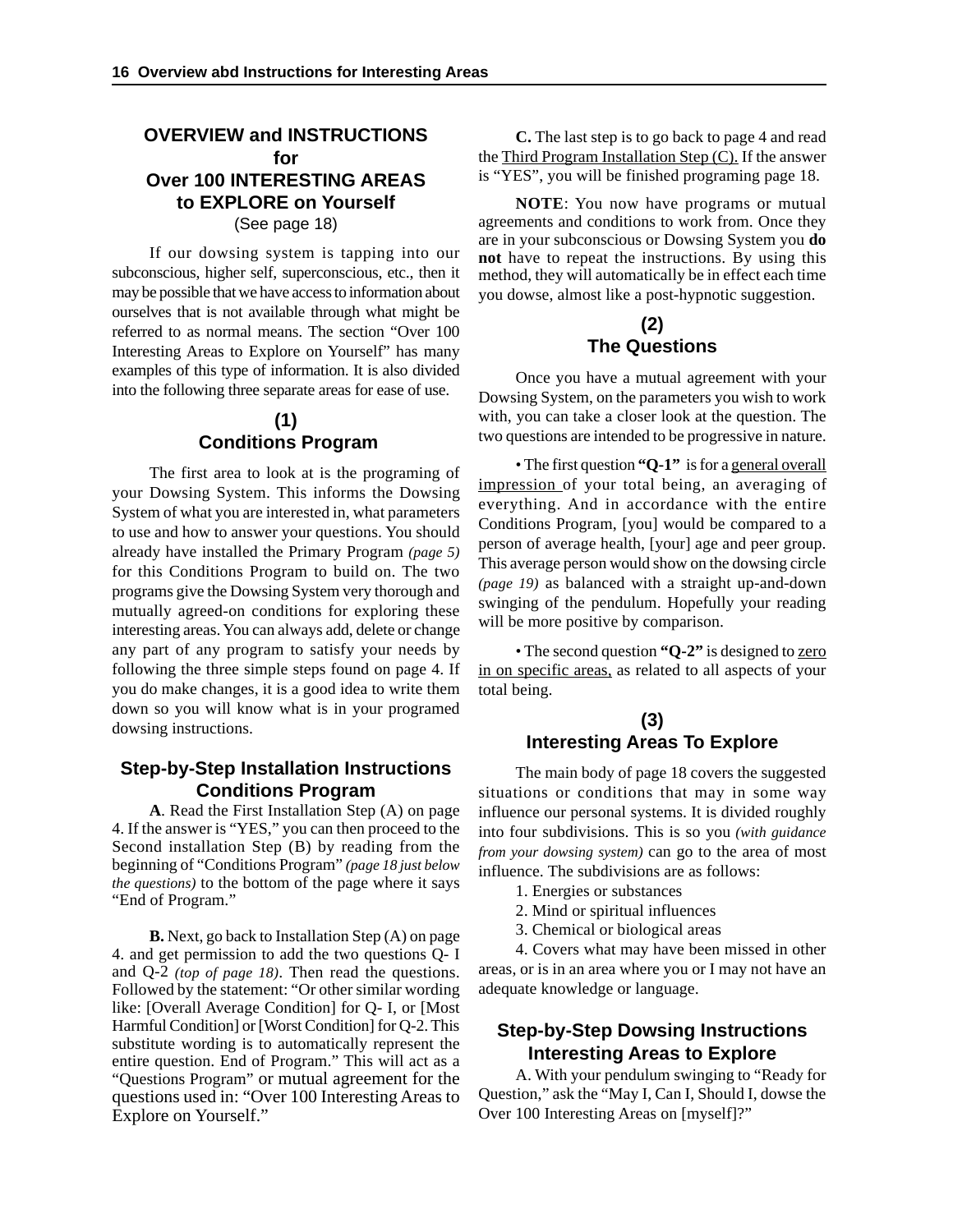#### **OVERVIEW and INSTRUCTIONS for Over 100 INTERESTING AREAS to EXPLORE on Yourself** (See page 18)

If our dowsing system is tapping into our subconscious, higher self, superconscious, etc., then it may be possible that we have access to information about ourselves that is not available through what might be referred to as normal means. The section "Over 100 Interesting Areas to Explore on Yourself" has many examples of this type of information. It is also divided into the following three separate areas for ease of use.

#### **(1) Conditions Program**

The first area to look at is the programing of your Dowsing System. This informs the Dowsing System of what you are interested in, what parameters to use and how to answer your questions. You should already have installed the Primary Program *(page 5)* for this Conditions Program to build on. The two programs give the Dowsing System very thorough and mutually agreed-on conditions for exploring these interesting areas. You can always add, delete or change any part of any program to satisfy your needs by following the three simple steps found on page 4. If you do make changes, it is a good idea to write them down so you will know what is in your programed dowsing instructions.

#### **Step-by-Step Installation Instructions Conditions Program**

**A**. Read the First Installation Step (A) on page 4. If the answer is "YES," you can then proceed to the Second installation Step (B) by reading from the beginning of "Conditions Program" *(page 18 just below the questions)* to the bottom of the page where it says "End of Program."

**B.** Next, go back to Installation Step (A) on page 4. and get permission to add the two questions Q- I and Q-2 *(top of page 18)*. Then read the questions. Followed by the statement: "Or other similar wording like: [Overall Average Condition] for Q- I, or [Most Harmful Condition] or [Worst Condition] for Q-2. This substitute wording is to automatically represent the entire question. End of Program." This will act as a "Questions Program" or mutual agreement for the questions used in: "Over 100 Interesting Areas to Explore on Yourself."

**C.** The last step is to go back to page 4 and read the Third Program Installation Step (C). If the answer is "YES", you will be finished programing page 18.

**NOTE**: You now have programs or mutual agreements and conditions to work from. Once they are in your subconscious or Dowsing System you **do not** have to repeat the instructions. By using this method, they will automatically be in effect each time you dowse, almost like a post-hypnotic suggestion.

#### **(2) The Questions**

Once you have a mutual agreement with your Dowsing System, on the parameters you wish to work with, you can take a closer look at the question. The two questions are intended to be progressive in nature.

• The first question **"Q-1"** is for a general overall impression of your total being, an averaging of everything. And in accordance with the entire Conditions Program, [you] would be compared to a person of average health, [your] age and peer group. This average person would show on the dowsing circle *(page 19)* as balanced with a straight up-and-down swinging of the pendulum. Hopefully your reading will be more positive by comparison.

• The second question **"Q-2"** is designed to zero in on specific areas, as related to all aspects of your total being.

#### **(3) Interesting Areas To Explore**

The main body of page 18 covers the suggested situations or conditions that may in some way influence our personal systems. It is divided roughly into four subdivisions. This is so you *(with guidance from your dowsing system)* can go to the area of most influence. The subdivisions are as follows:

- 1. Energies or substances
- 2. Mind or spiritual influences
- 3. Chemical or biological areas

4. Covers what may have been missed in other areas, or is in an area where you or I may not have an adequate knowledge or language.

#### **Step-by-Step Dowsing Instructions Interesting Areas to Explore**

A. With your pendulum swinging to "Ready for Question," ask the "May I, Can I, Should I, dowse the Over 100 Interesting Areas on [myself]?"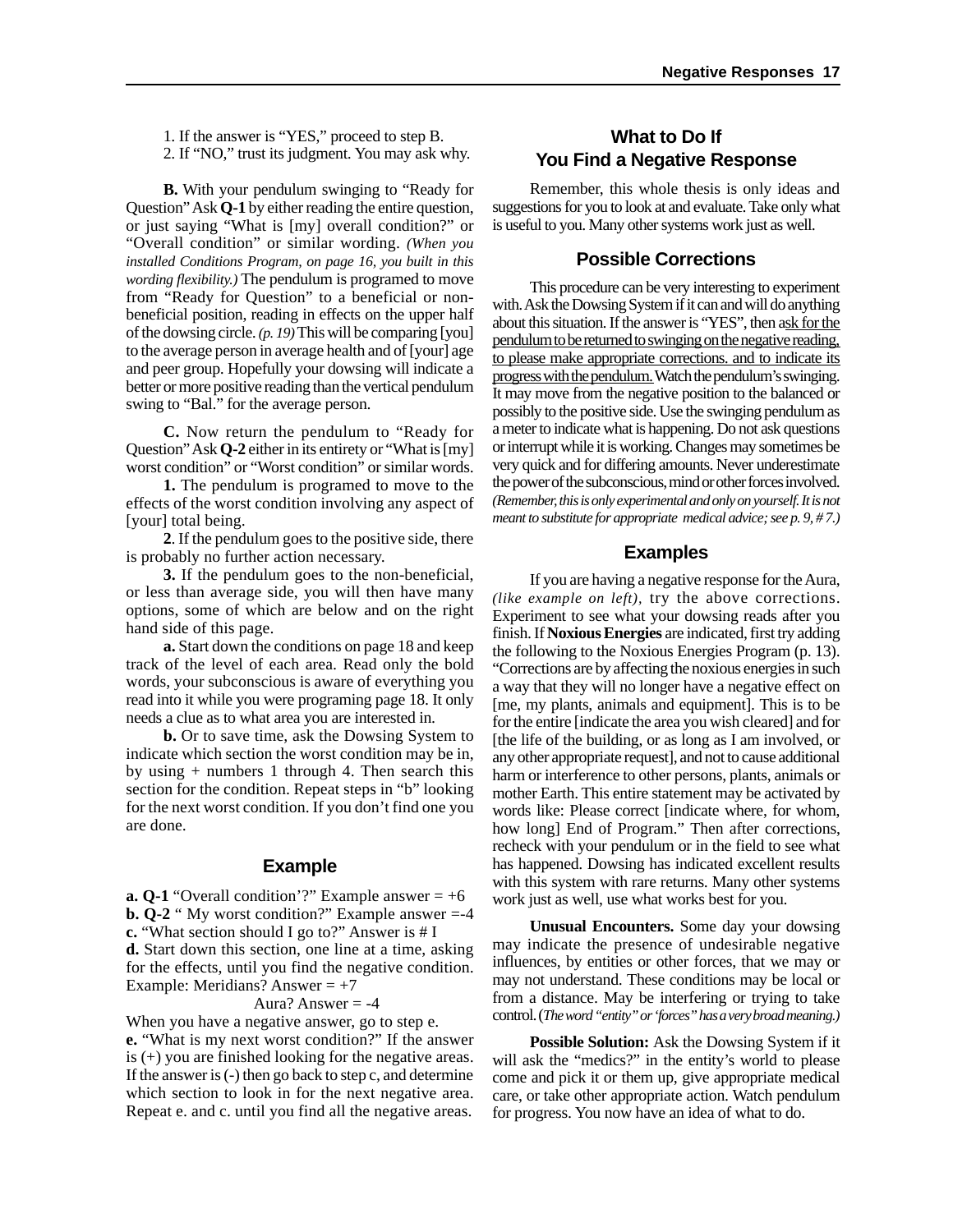1. If the answer is "YES," proceed to step B. 2. If "NO," trust its judgment. You may ask why.

**B.** With your pendulum swinging to "Ready for Question" Ask **Q-1** by either reading the entire question, or just saying "What is [my] overall condition?" or "Overall condition" or similar wording. *(When you installed Conditions Program, on page 16, you built in this wording flexibility.)* The pendulum is programed to move from "Ready for Question" to a beneficial or nonbeneficial position, reading in effects on the upper half of the dowsing circle. *(p. 19)* This will be comparing [you] to the average person in average health and of [your] age and peer group. Hopefully your dowsing will indicate a better or more positive reading than the vertical pendulum swing to "Bal." for the average person.

**C.** Now return the pendulum to "Ready for Question" Ask **Q-2** either in its entirety or "What is [my] worst condition" or "Worst condition" or similar words.

**1.** The pendulum is programed to move to the effects of the worst condition involving any aspect of [your] total being.

**2**. If the pendulum goes to the positive side, there is probably no further action necessary.

**3.** If the pendulum goes to the non-beneficial, or less than average side, you will then have many options, some of which are below and on the right hand side of this page.

**a.** Start down the conditions on page 18 and keep track of the level of each area. Read only the bold words, your subconscious is aware of everything you read into it while you were programing page 18. It only needs a clue as to what area you are interested in.

**b.** Or to save time, ask the Dowsing System to indicate which section the worst condition may be in, by using  $+$  numbers 1 through 4. Then search this section for the condition. Repeat steps in "b" looking for the next worst condition. If you don't find one you are done.

#### **Example**

**a. Q-1** "Overall condition'?" Example answer  $= +6$ **b. Q-2** " My worst condition?" Example answer =-4 **c.** "What section should I go to?" Answer is # I **d.** Start down this section, one line at a time, asking for the effects, until you find the negative condition. Example: Meridians? Answer  $= +7$ 

#### Aura? Answer  $= -4$

When you have a negative answer, go to step e. **e.** "What is my next worst condition?" If the answer is (+) you are finished looking for the negative areas. If the answer is (-) then go back to step c, and determine which section to look in for the next negative area. Repeat e. and c. until you find all the negative areas.

#### **What to Do If You Find a Negative Response**

Remember, this whole thesis is only ideas and suggestions for you to look at and evaluate. Take only what is useful to you. Many other systems work just as well.

#### **Possible Corrections**

This procedure can be very interesting to experiment with. Ask the Dowsing System if it can and will do anything about this situation. If the answer is "YES", then ask for the pendulum to be returned to swinging on the negative reading, to please make appropriate corrections. and to indicate its progress with the pendulum. Watch the pendulum's swinging. It may move from the negative position to the balanced or possibly to the positive side. Use the swinging pendulum as a meter to indicate what is happening. Do not ask questions or interrupt while it is working. Changes may sometimes be very quick and for differing amounts. Never underestimate the power of the subconscious, mind or other forces involved. *(Remember, this is only experimental and only on yourself. It is not meant to substitute for appropriate medical advice; see p. 9, # 7.)*

#### **Examples**

If you are having a negative response for the Aura, *(like example on left),* try the above corrections. Experiment to see what your dowsing reads after you finish. If **Noxious Energies** are indicated, first try adding the following to the Noxious Energies Program (p. 13). "Corrections are by affecting the noxious energies in such a way that they will no longer have a negative effect on [me, my plants, animals and equipment]. This is to be for the entire [indicate the area you wish cleared] and for [the life of the building, or as long as I am involved, or any other appropriate request], and not to cause additional harm or interference to other persons, plants, animals or mother Earth. This entire statement may be activated by words like: Please correct [indicate where, for whom, how long] End of Program." Then after corrections, recheck with your pendulum or in the field to see what has happened. Dowsing has indicated excellent results with this system with rare returns. Many other systems work just as well, use what works best for you.

**Unusual Encounters.** Some day your dowsing may indicate the presence of undesirable negative influences, by entities or other forces, that we may or may not understand. These conditions may be local or from a distance. May be interfering or trying to take control. (*The word "entity" or 'forces" has a very broad meaning.)*

**Possible Solution:** Ask the Dowsing System if it will ask the "medics?" in the entity's world to please come and pick it or them up, give appropriate medical care, or take other appropriate action. Watch pendulum for progress. You now have an idea of what to do.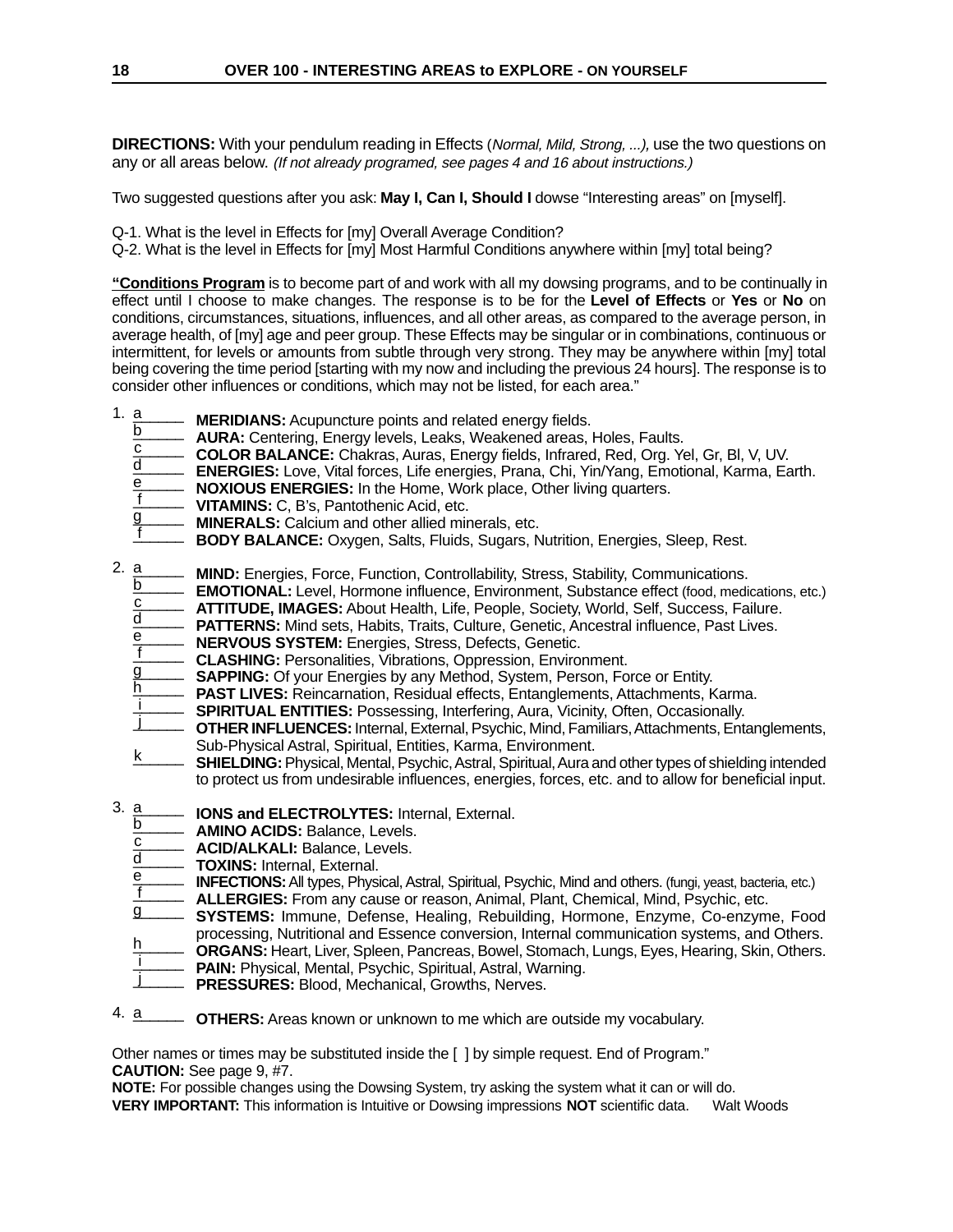**DIRECTIONS:** With your pendulum reading in Effects (Normal, Mild, Strong, ...), use the two questions on any or all areas below. (If not already programed, see pages 4 and 16 about instructions.)

Two suggested questions after you ask: **May I, Can I, Should I** dowse "Interesting areas" on [myself].

Q-1. What is the level in Effects for [my] Overall Average Condition?

Q-2. What is the level in Effects for [my] Most Harmful Conditions anywhere within [my] total being?

**"Conditions Program** is to become part of and work with all my dowsing programs, and to be continually in effect until I choose to make changes. The response is to be for the **Level of Effects** or **Yes** or **No** on conditions, circumstances, situations, influences, and all other areas, as compared to the average person, in average health, of [my] age and peer group. These Effects may be singular or in combinations, continuous or intermittent, for levels or amounts from subtle through very strong. They may be anywhere within [my] total being covering the time period [starting with my now and including the previous 24 hours]. The response is to consider other influences or conditions, which may not be listed, for each area."

- **MERIDIANS:** Acupuncture points and related energy fields. 1. <u>a</u>
	- **AURA:** Centering, Energy levels, Leaks, Weakened areas, Holes, Faults. b<br>——
	- **COLOR BALANCE:** Chakras, Auras, Energy fields, Infrared, Red, Org. Yel, Gr, Bl, V, UV. c \_\_\_\_\_\_
	- **ENERGIES:** Love, Vital forces, Life energies, Prana, Chi, Yin/Yang, Emotional, Karma, Earth. d \_\_\_\_\_\_
	- **NOXIOUS ENERGIES:** In the Home, Work place, Other living quarters. e
	- **VITAMINS:** C, B's, Pantothenic Acid, etc.  $f$
	- **MINERALS:** Calcium and other allied minerals, etc. g \_\_\_\_\_\_
	- **BODY BALANCE:** Oxygen, Salts, Fluids, Sugars, Nutrition, Energies, Sleep, Rest. f \_\_\_\_\_\_
- **MIND:** Energies, Force, Function, Controllability, Stress, Stability, Communications. 2. <u>a</u>
	- **EMOTIONAL:** Level, Hormone influence, Environment, Substance effect (food, medications, etc.) b<br>——
	- **ATTITUDE, IMAGES:** About Health, Life, People, Society, World, Self, Success, Failure. c \_\_\_\_\_\_
	- **PATTERNS:** Mind sets, Habits, Traits, Culture, Genetic, Ancestral influence, Past Lives. d \_\_\_\_\_\_
	- **NERVOUS SYSTEM:** Energies, Stress, Defects, Genetic. e
	- **CLASHING:** Personalities, Vibrations, Oppression, Environment.  $f$
	- **SAPPING:** Of your Energies by any Method, System, Person, Force or Entity. g \_\_\_\_\_\_
	- **PAST LIVES:** Reincarnation, Residual effects, Entanglements, Attachments, Karma. <u>h</u>
	- **SPIRITUAL ENTITIES:** Possessing, Interfering, Aura, Vicinity, Often, Occasionally. <u>i</u>
	- **OTHER INFLUENCES:** Internal, External, Psychic, Mind, Familiars, Attachments, Entanglements, Sub-Physical Astral, Spiritual, Entities, Karma, Environment. j \_\_\_\_\_\_
	- **SHIELDING:** Physical, Mental, Psychic, Astral, Spiritual, Aura and other types of shielding intended to protect us from undesirable influences, energies, forces, etc. and to allow for beneficial input. k \_\_\_\_\_\_
- **IONS and ELECTROLYTES:** Internal, External. 3. <u>a</u> \_\_\_\_
	- **AMINO ACIDS:** Balance, Levels. b
	- **ACID/ALKALI:** Balance, Levels.  $c$
	- **TOXINS:** Internal, External. d \_\_\_\_\_\_
	- **INFECTIONS:** All types, Physical, Astral, Spiritual, Psychic, Mind and others. (fungi, yeast, bacteria, etc.) e f \_\_\_\_\_\_
	- **ALLERGIES:** From any cause or reason, Animal, Plant, Chemical, Mind, Psychic, etc.
	- **SYSTEMS:** Immune, Defense, Healing, Rebuilding, Hormone, Enzyme, Co-enzyme, Food g \_\_\_\_\_\_
	- processing, Nutritional and Essence conversion, Internal communication systems, and Others. **ORGANS:** Heart, Liver, Spleen, Pancreas, Bowel, Stomach, Lungs, Eyes, Hearing, Skin, Others. <u>h</u>
	- **PAIN:** Physical, Mental, Psychic, Spiritual, Astral, Warning. i  $\frac{1}{\sqrt{2}}$
	- **PRESSURES:** Blood, Mechanical, Growths, Nerves. j  $\perp$   $\perp$
	-
- **OTHERS:** Areas known or unknown to me which are outside my vocabulary. 4. <u>a</u>

Other names or times may be substituted inside the [ ] by simple request. End of Program." **CAUTION:** See page 9, #7.

**NOTE:** For possible changes using the Dowsing System, try asking the system what it can or will do. **VERY IMPORTANT:** This information is Intuitive or Dowsing impressions **NOT** scientific data. Walt Woods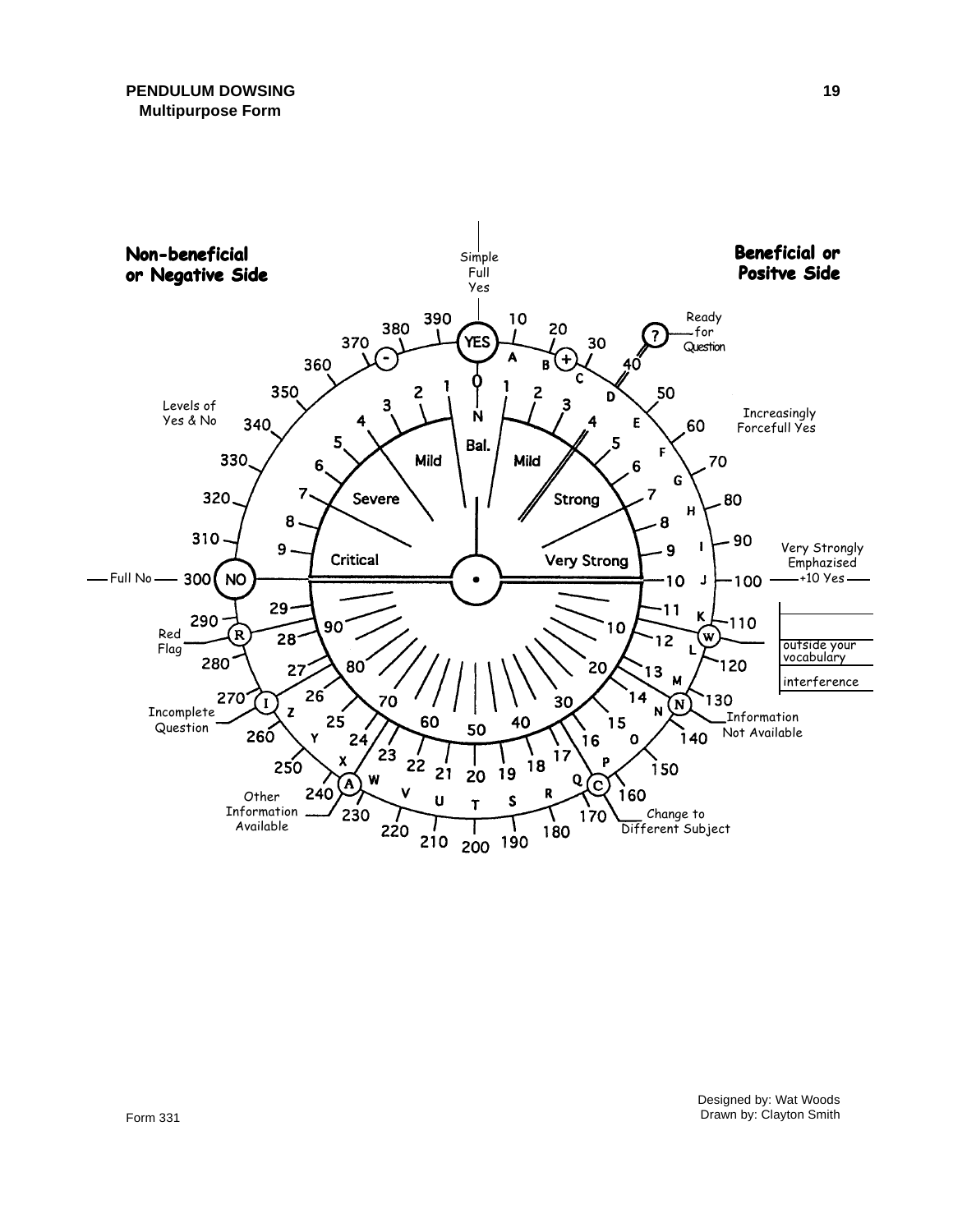

Designed by: Wat Woods Drawn by: Clayton Smith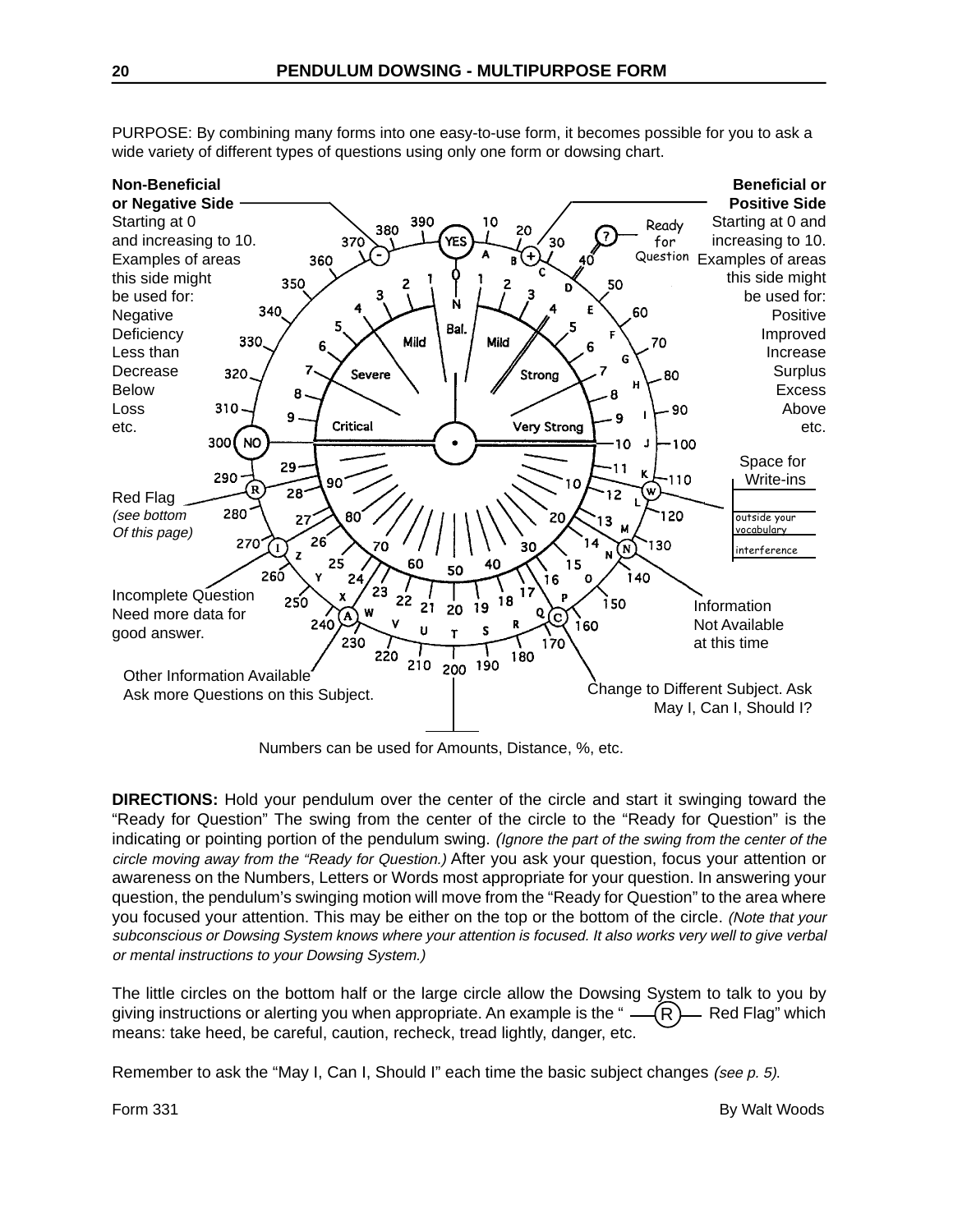

PURPOSE: By combining many forms into one easy-to-use form, it becomes possible for you to ask a wide variety of different types of questions using only one form or dowsing chart.

Numbers can be used for Amounts, Distance, %, etc.

**DIRECTIONS:** Hold your pendulum over the center of the circle and start it swinging toward the "Ready for Question" The swing from the center of the circle to the "Ready for Question" is the indicating or pointing portion of the pendulum swing. (Ignore the part of the swing from the center of the circle moving away from the "Ready for Question.) After you ask your question, focus your attention or awareness on the Numbers, Letters or Words most appropriate for your question. In answering your question, the pendulum's swinging motion will move from the "Ready for Question" to the area where you focused your attention. This may be either on the top or the bottom of the circle. (Note that your subconscious or Dowsing System knows where your attention is focused. It also works very well to give verbal or mental instructions to your Dowsing System.)

The little circles on the bottom half or the large circle allow the Dowsing System to talk to you by giving instructions or alerting you when appropriate. An example is the " $\overline{R}$   $\rightarrow$  Red Flag" which means: take heed, be careful, caution, recheck, tread lightly, danger, etc. R

Remember to ask the "May I, Can I, Should I" each time the basic subject changes (see p. 5).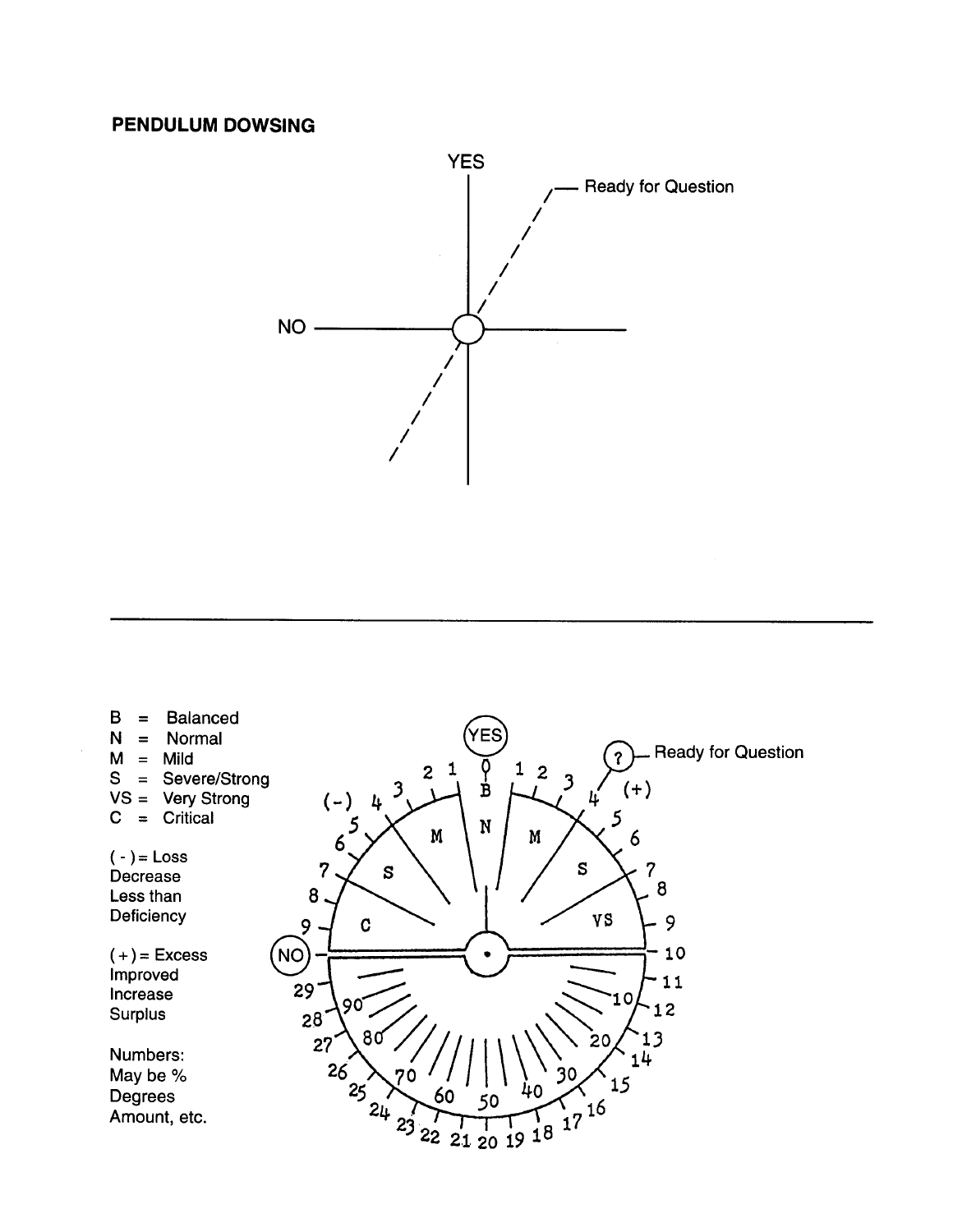### **PENDULUM DOWSING**



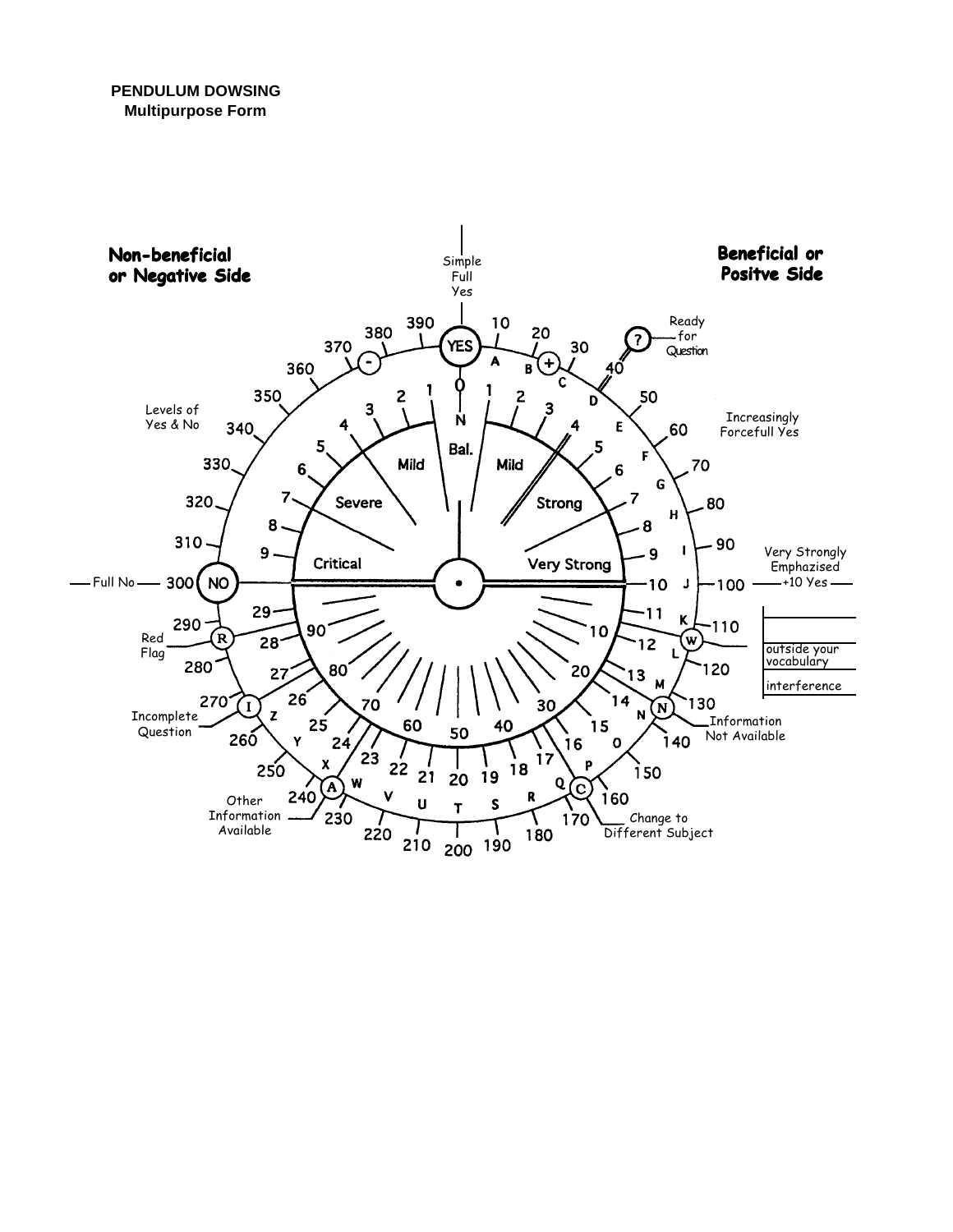